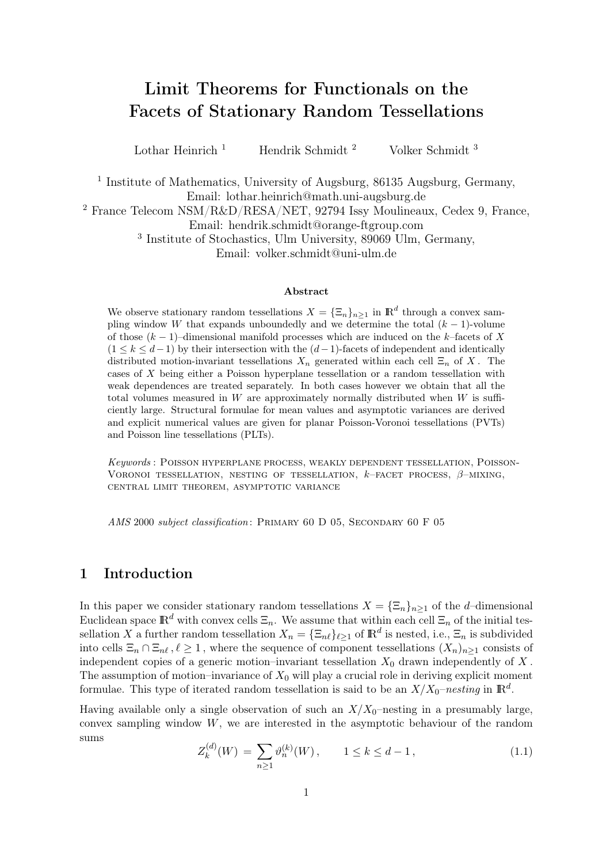# Limit Theorems for Functionals on the Facets of Stationary Random Tessellations

Lothar Heinrich<sup>1</sup> Hendrik Schmidt<sup>2</sup> Volker Schmidt<sup>3</sup>

<sup>1</sup> Institute of Mathematics, University of Augsburg, 86135 Augsburg, Germany, Email: lothar.heinrich@math.uni-augsburg.de

<sup>2</sup> France Telecom NSM/R&D/RESA/NET, 92794 Issy Moulineaux, Cedex 9, France, Email: hendrik.schmidt@orange-ftgroup.com

3 Institute of Stochastics, Ulm University, 89069 Ulm, Germany, Email: volker.schmidt@uni-ulm.de

#### Abstract

We observe stationary random tessellations  $X = {\{\Xi_n\}}_{n \geq 1}$  in  $\mathbb{R}^d$  through a convex sampling window W that expands unboundedly and we determine the total  $(k-1)$ -volume of those  $(k-1)$ –dimensional manifold processes which are induced on the k–facets of X  $(1 \le k \le d-1)$  by their intersection with the  $(d-1)$ -facets of independent and identically distributed motion-invariant tessellations  $X_n$  generated within each cell  $\Xi_n$  of X. The cases of X being either a Poisson hyperplane tessellation or a random tessellation with weak dependences are treated separately. In both cases however we obtain that all the total volumes measured in  $W$  are approximately normally distributed when  $W$  is sufficiently large. Structural formulae for mean values and asymptotic variances are derived and explicit numerical values are given for planar Poisson-Voronoi tessellations (PVTs) and Poisson line tessellations (PLTs).

Keywords : Poisson hyperplane process, weakly dependent tessellation, Poisson-VORONOI TESSELLATION, NESTING OF TESSELLATION,  $k$ –FACET PROCESS,  $\beta$ –MIXING, central limit theorem, asymptotic variance

AMS 2000 subject classification: PRIMARY 60 D 05, SECONDARY 60 F 05

## 1 Introduction

In this paper we consider stationary random tessellations  $X = {\{\Xi_n\}}_{n\geq 1}$  of the d–dimensional Euclidean space  $\mathbb{R}^d$  with convex cells  $\Xi_n$ . We assume that within each cell  $\Xi_n$  of the initial tessellation X a further random tessellation  $X_n = \{\Xi_{n\ell}\}_{\ell \geq 1}$  of  $\mathbb{R}^d$  is nested, i.e.,  $\Xi_n$  is subdivided into cells  $\Xi_n \cap \Xi_{n\ell}, \ell \geq 1$ , where the sequence of component tessellations  $(X_n)_{n\geq 1}$  consists of independent copies of a generic motion–invariant tessellation  $X_0$  drawn independently of X. The assumption of motion–invariance of  $X_0$  will play a crucial role in deriving explicit moment formulae. This type of iterated random tessellation is said to be an  $X/X_0$ –nesting in  $\mathbb{R}^d$ .

Having available only a single observation of such an  $X/X_0$ -nesting in a presumably large, convex sampling window  $W$ , we are interested in the asymptotic behaviour of the random sums

$$
Z_k^{(d)}(W) = \sum_{n \ge 1} \vartheta_n^{(k)}(W), \qquad 1 \le k \le d - 1, \tag{1.1}
$$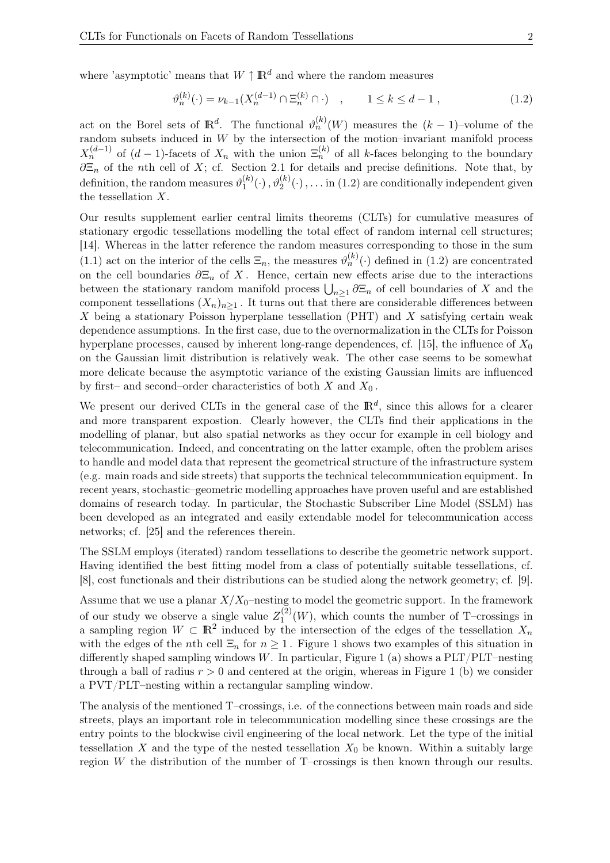where 'asymptotic' means that  $W \uparrow \mathbb{R}^d$  and where the random measures

$$
\vartheta_n^{(k)}(\cdot) = \nu_{k-1}(X_n^{(d-1)} \cap \Xi_n^{(k)} \cap \cdot) \quad , \qquad 1 \le k \le d-1 , \tag{1.2}
$$

act on the Borel sets of  $\mathbb{R}^d$ . The functional  $\vartheta_n^{(k)}(W)$  measures the  $(k-1)$ -volume of the random subsets induced in  $W$  by the intersection of the motion–invariant manifold process  $X_n^{(d-1)}$  of  $(d-1)$ -facets of  $X_n$  with the union  $\Xi_n^{(k)}$  of all k-faces belonging to the boundary  $\partial \Xi_n$  of the nth cell of X; cf. Section 2.1 for details and precise definitions. Note that, by definition, the random measures  $\vartheta_1^{(k)}$  $\mathcal{O}_1^{(k)}(\cdot)$  ,  $\vartheta_2^{(k)}(\cdot)$  ,  $\ldots$  in (1.2) are conditionally independent given the tessellation X.

Our results supplement earlier central limits theorems (CLTs) for cumulative measures of stationary ergodic tessellations modelling the total effect of random internal cell structures; [14]. Whereas in the latter reference the random measures corresponding to those in the sum (1.1) act on the interior of the cells  $\Xi_n$ , the measures  $\vartheta_n^{(k)}(\cdot)$  defined in (1.2) are concentrated on the cell boundaries  $\partial \Xi_n$  of X. Hence, certain new effects arise due to the interactions between the stationary random manifold process  $\bigcup_{n\geq 1} \partial \Xi_n$  of cell boundaries of X and the component tessellations  $(X_n)_{n\geq 1}$ . It turns out that there are considerable differences between X being a stationary Poisson hyperplane tessellation (PHT) and X satisfying certain weak dependence assumptions. In the first case, due to the overnormalization in the CLTs for Poisson hyperplane processes, caused by inherent long-range dependences, cf. [15], the influence of  $X_0$ on the Gaussian limit distribution is relatively weak. The other case seems to be somewhat more delicate because the asymptotic variance of the existing Gaussian limits are influenced by first– and second–order characteristics of both  $X$  and  $X_0$ .

We present our derived CLTs in the general case of the  $\mathbb{R}^d$ , since this allows for a clearer and more transparent expostion. Clearly however, the CLTs find their applications in the modelling of planar, but also spatial networks as they occur for example in cell biology and telecommunication. Indeed, and concentrating on the latter example, often the problem arises to handle and model data that represent the geometrical structure of the infrastructure system (e.g. main roads and side streets) that supports the technical telecommunication equipment. In recent years, stochastic–geometric modelling approaches have proven useful and are established domains of research today. In particular, the Stochastic Subscriber Line Model (SSLM) has been developed as an integrated and easily extendable model for telecommunication access networks; cf. [25] and the references therein.

The SSLM employs (iterated) random tessellations to describe the geometric network support. Having identified the best fitting model from a class of potentially suitable tessellations, cf. [8], cost functionals and their distributions can be studied along the network geometry; cf. [9].

Assume that we use a planar  $X/X_0$ -nesting to model the geometric support. In the framework of our study we observe a single value  $Z_1^{(2)}$  $1^{(2)}(W)$ , which counts the number of T–crossings in a sampling region  $W \subset \mathbb{R}^2$  induced by the intersection of the edges of the tessellation  $X_n$ with the edges of the nth cell  $\Xi_n$  for  $n \geq 1$ . Figure 1 shows two examples of this situation in differently shaped sampling windows W. In particular, Figure 1 (a) shows a  $PLT/PLT$ -nesting through a ball of radius  $r > 0$  and centered at the origin, whereas in Figure 1 (b) we consider a PVT/PLT–nesting within a rectangular sampling window.

The analysis of the mentioned T–crossings, i.e. of the connections between main roads and side streets, plays an important role in telecommunication modelling since these crossings are the entry points to the blockwise civil engineering of the local network. Let the type of the initial tessellation X and the type of the nested tessellation  $X_0$  be known. Within a suitably large region W the distribution of the number of T–crossings is then known through our results.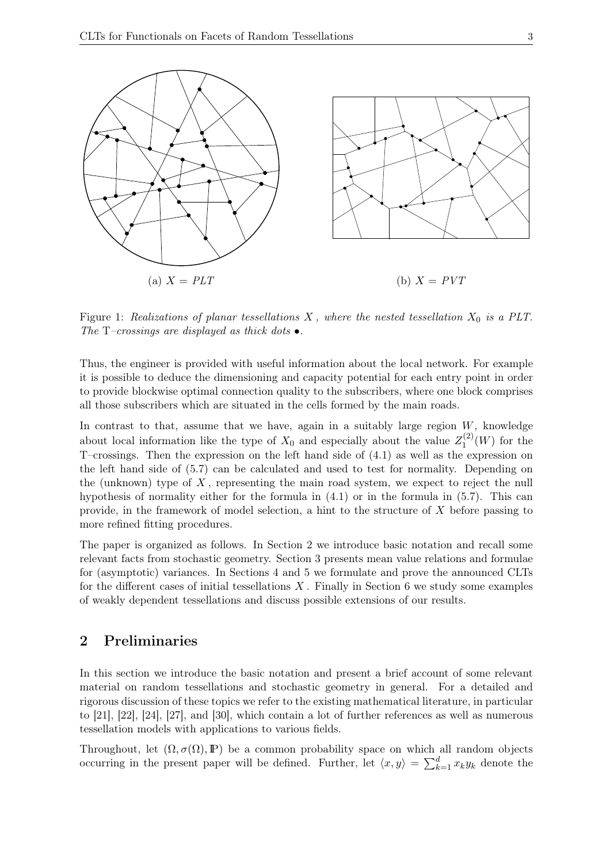

Figure 1: Realizations of planar tessellations  $X$ , where the nested tessellation  $X_0$  is a PLT. The T–crossings are displayed as thick dots  $\bullet$ .

Thus, the engineer is provided with useful information about the local network. For example it is possible to deduce the dimensioning and capacity potential for each entry point in order to provide blockwise optimal connection quality to the subscribers, where one block comprises all those subscribers which are situated in the cells formed by the main roads.

In contrast to that, assume that we have, again in a suitably large region  $W$ , knowledge about local information like the type of  $X_0$  and especially about the value  $Z_1^{(2)}$  $j_1^{(2)}(W)$  for the T–crossings. Then the expression on the left hand side of (4.1) as well as the expression on the left hand side of (5.7) can be calculated and used to test for normality. Depending on the (unknown) type of  $X$ , representing the main road system, we expect to reject the null hypothesis of normality either for the formula in  $(4.1)$  or in the formula in  $(5.7)$ . This can provide, in the framework of model selection, a hint to the structure of  $X$  before passing to more refined fitting procedures.

The paper is organized as follows. In Section 2 we introduce basic notation and recall some relevant facts from stochastic geometry. Section 3 presents mean value relations and formulae for (asymptotic) variances. In Sections 4 and 5 we formulate and prove the announced CLTs for the different cases of initial tessellations  $X$ . Finally in Section 6 we study some examples of weakly dependent tessellations and discuss possible extensions of our results.

## 2 Preliminaries

In this section we introduce the basic notation and present a brief account of some relevant material on random tessellations and stochastic geometry in general. For a detailed and rigorous discussion of these topics we refer to the existing mathematical literature, in particular to [21], [22], [24], [27], and [30], which contain a lot of further references as well as numerous tessellation models with applications to various fields.

Throughout, let  $(\Omega, \sigma(\Omega), \mathbb{P})$  be a common probability space on which all random objects occurring in the present paper will be defined. Further, let  $\langle x, y \rangle = \sum_{k=1}^d x_k y_k$  denote the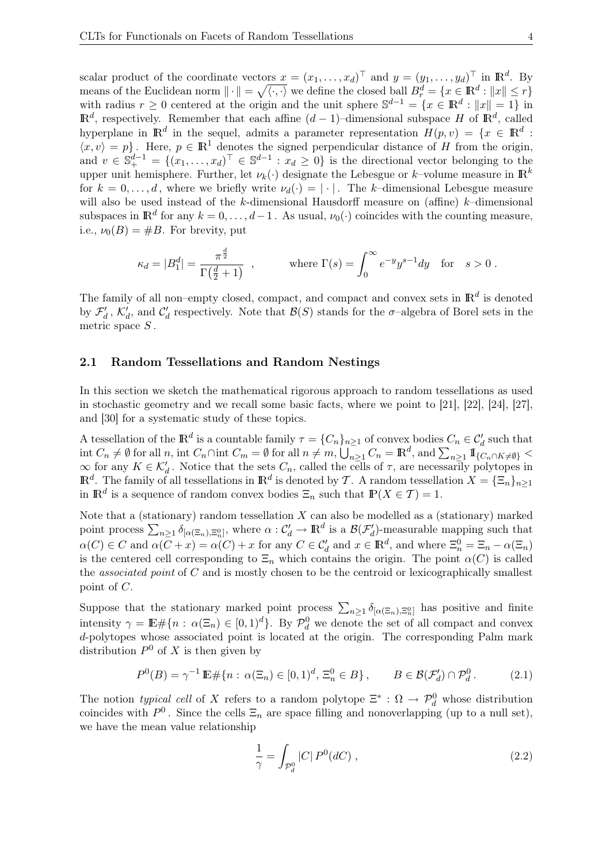scalar product of the coordinate vectors  $x = (x_1, \ldots, x_d)^\top$  and  $y = (y_1, \ldots, y_d)^\top$  in  $\mathbb{R}^d$ . By means of the Euclidean norm  $\|\cdot\| = \sqrt{\langle \cdot, \cdot \rangle}$  we define the closed ball  $B_r^d = \{x \in \mathbb{R}^d : \|x\| \leq r\}$ with radius  $r \geq 0$  centered at the origin and the unit sphere  $\mathbb{S}^{d-1} = \{x \in \mathbb{R}^d : ||x|| = 1\}$  in  $\mathbb{R}^d$ , respectively. Remember that each affine  $(d-1)$ –dimensional subspace H of  $\mathbb{R}^d$ , called hyperplane in  $\mathbb{R}^d$  in the sequel, admits a parameter representation  $H(p, v) = \{x \in \mathbb{R}^d :$  $\langle x, v \rangle = p$ . Here,  $p \in \mathbb{R}^1$  denotes the signed perpendicular distance of H from the origin, and  $v \in \mathbb{S}_{+}^{d-1} = \{(x_1, \ldots, x_d)^\top \in \mathbb{S}^{d-1} : x_d \geq 0\}$  is the directional vector belonging to the upper unit hemisphere. Further, let  $\nu_k(\cdot)$  designate the Lebesgue or k-volume measure in  $\mathbb{R}^k$ for  $k = 0, \ldots, d$ , where we briefly write  $\nu_d(\cdot) = |\cdot|$ . The k-dimensional Lebesgue measure will also be used instead of the k-dimensional Hausdorff measure on (affine)  $k$ -dimensional subspaces in  $\mathbb{R}^d$  for any  $k = 0, \ldots, d-1$ . As usual,  $\nu_0(\cdot)$  coincides with the counting measure, i.e.,  $\nu_0(B) = \#B$ . For brevity, put

$$
\kappa_d = |B_1^d| = \frac{\pi^{\frac{d}{2}}}{\Gamma(\frac{d}{2} + 1)}, \quad \text{where } \Gamma(s) = \int_0^\infty e^{-y} y^{s-1} dy \quad \text{for} \quad s > 0.
$$

The family of all non–empty closed, compact, and compact and convex sets in  $\mathbb{R}^d$  is denoted by  $\mathcal{F}'_d$ ,  $\mathcal{K}'_d$ , and  $\mathcal{C}'_d$  respectively. Note that  $\mathcal{B}(S)$  stands for the  $\sigma$ -algebra of Borel sets in the metric space  $S$ .

#### 2.1 Random Tessellations and Random Nestings

In this section we sketch the mathematical rigorous approach to random tessellations as used in stochastic geometry and we recall some basic facts, where we point to [21], [22], [24], [27], and [30] for a systematic study of these topics.

A tessellation of the  $\mathbb{R}^d$  is a countable family  $\tau = \{C_n\}_{n\geq 1}$  of convex bodies  $C_n \in \mathcal{C}'_d$  such that int  $C_n \neq \emptyset$  for all  $n$ , int  $C_n \cap \text{int } C_m = \emptyset$  for all  $n \neq m$ ,  $\bigcup_{n \geq 1} C_n = \mathbb{R}^d$ , and  $\sum_{n \geq 1} \mathbb{I}_{\{C_n \cap K \neq \emptyset\}}$  $\infty$  for any  $K \in \mathcal{K}'_d$ . Notice that the sets  $C_n$ , called the cells of  $\tau$ , are necessarily polytopes in  $\mathbb{R}^d$ . The family of all tessellations in  $\mathbb{R}^d$  is denoted by T. A random tessellation  $X = {\{\Xi_n\}}_{n \geq 1}$ in  $\mathbb{R}^d$  is a sequence of random convex bodies  $\Xi_n$  such that  $\mathbb{P}(X \in \mathcal{T}) = 1$ .

Note that a (stationary) random tessellation  $X$  can also be modelled as a (stationary) marked point process  $\sum_{n\geq 1} \delta_{[\alpha(\Xi_n),\Xi_n^0]}$ , where  $\alpha: \mathcal{C}'_d \to \mathbb{R}^d$  is a  $\mathcal{B}(\mathcal{F}'_d)$ -measurable mapping such that  $\alpha(C) \in C$  and  $\alpha(C+x) = \alpha(C) + x$  for any  $C \in \mathcal{C}_d'$  and  $x \in \mathbb{R}^d$ , and where  $\Xi_n^0 = \Xi_n - \alpha(\Xi_n)$ is the centered cell corresponding to  $\Xi_n$  which contains the origin. The point  $\alpha(C)$  is called the *associated point* of  $C$  and is mostly chosen to be the centroid or lexicographically smallest point of C.

Suppose that the stationary marked point process  $\sum_{n\geq 1} \delta_{[\alpha(\Xi_n),\Xi_n^0]}$  has positive and finite intensity  $\gamma = \mathbb{E} \# \{ n : \alpha(\Xi_n) \in [0,1)^d \}$ . By  $\mathcal{P}_d^0$  we denote the set of all compact and convex d-polytopes whose associated point is located at the origin. The corresponding Palm mark distribution  $P^0$  of X is then given by

$$
P^{0}(B) = \gamma^{-1} \mathbb{E} \# \{ n : \alpha(\Xi_n) \in [0,1)^d, \, \Xi_n^0 \in B \}, \qquad B \in \mathcal{B}(\mathcal{F}'_d) \cap \mathcal{P}_d^0. \tag{2.1}
$$

The notion typical cell of X refers to a random polytope  $\Xi^*: \Omega \to \mathcal{P}_d^0$  whose distribution coincides with  $P^0$ . Since the cells  $\Xi_n$  are space filling and nonoverlapping (up to a null set), we have the mean value relationship

$$
\frac{1}{\gamma} = \int_{\mathcal{P}_d^0} |C| \, P^0(dC) \,, \tag{2.2}
$$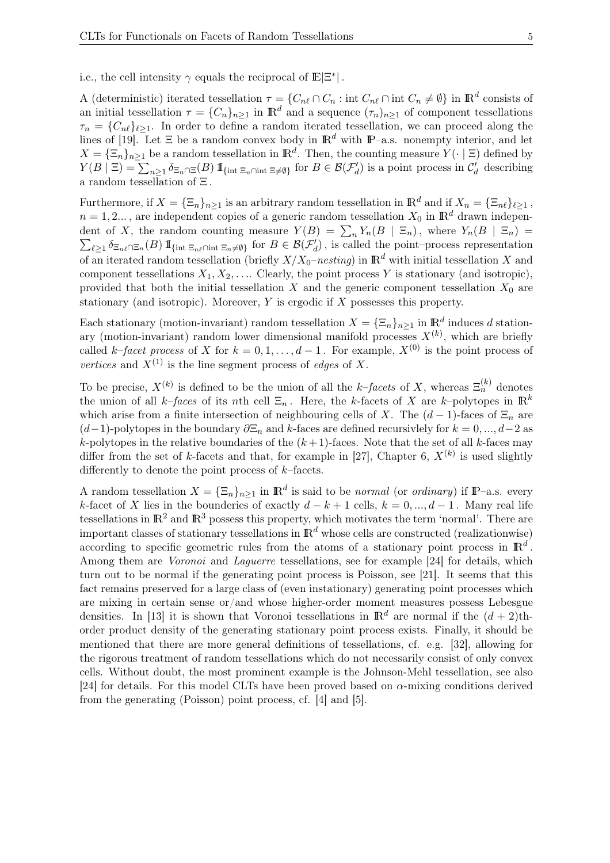i.e., the cell intensity  $\gamma$  equals the reciprocal of  $\mathbb{E}|\Xi^*|$  .

A (deterministic) iterated tessellation  $\tau = \{C_{n\ell} \cap C_n : \text{int } C_{n\ell} \cap \text{int } C_n \neq \emptyset\}$  in  $\mathbb{R}^d$  consists of an initial tessellation  $\tau = \{C_n\}_{n\geq 1}$  in  $\mathbb{R}^d$  and a sequence  $(\tau_n)_{n\geq 1}$  of component tessellations  $\tau_n = \{C_{n\ell}\}_{\ell \geq 1}$ . In order to define a random iterated tessellation, we can proceed along the lines of [19]. Let  $\Xi$  be a random convex body in  $\mathbb{R}^d$  with  $\mathbb{P}-a.s.$  nonempty interior, and let  $X = {\{\Xi_n\}_{n \geq 1}}$  be a random tessellation in  $\mathbb{R}^d$ . Then, the counting measure  $Y(\cdot | \Xi)$  defined by  $Y(B | \Xi) = \sum_{n \geq 1} \delta_{\Xi_n \cap \Xi}(B) 1\!\!1_{\{\text{int } \Xi_n \cap \text{int } \Xi \neq \emptyset\}}$  for  $B \in \mathcal{B}(\mathcal{F}'_d)$  is a point process in  $\mathcal{C}'_d$  describing a random tessellation of Ξ.

Furthermore, if  $X = {\{\Xi_n\}}_{n \geq 1}$  is an arbitrary random tessellation in  $\mathbb{R}^d$  and if  $X_n = {\{\Xi_n\}}_{\ell \geq 1}$ ,  $n = 1, 2...$ , are independent copies of a generic random tessellation  $X_0$  in  $\mathbb{R}^d$  drawn independent of X, the random counting measure  $Y(B) = \sum_n Y_n(B \mid \Xi_n)$ , where  $Y_n(B \mid \Xi_n) =$  $\sum_{\ell \geq 1} \delta_{\Xi_n\ell} \supseteq_{\pi_n}(B) \mathbbm{1}_{\{\text{int } \Xi_n\ell} \cap \text{int } \Xi_n \neq \emptyset\}}$  for  $B \in \mathcal{B}(\mathcal{F}'_d)$ , is called the point–process representation of an iterated random tessellation (briefly  $X/X_0$ –nesting) in  $\mathbb{R}^d$  with initial tessellation X and component tessellations  $X_1, X_2, \ldots$  Clearly, the point process Y is stationary (and isotropic), provided that both the initial tessellation X and the generic component tessellation  $X_0$  are stationary (and isotropic). Moreover, Y is ergodic if X possesses this property.

Each stationary (motion-invariant) random tessellation  $X = {\{\Xi_n\}}_{n \geq 1}$  in  $\mathbb{R}^d$  induces d stationary (motion-invariant) random lower dimensional manifold processes  $X^{(k)}$ , which are briefly called k–facet process of X for  $k = 0, 1, ..., d - 1$ . For example,  $X^{(0)}$  is the point process of vertices and  $X^{(1)}$  is the line segment process of *edges* of X.

To be precise,  $X^{(k)}$  is defined to be the union of all the k-facets of X, whereas  $\Xi_n^{(k)}$  denotes the union of all k–faces of its nth cell  $\Xi_n$ . Here, the k-facets of X are k–polytopes in  $\mathbb{R}^k$ which arise from a finite intersection of neighbouring cells of X. The  $(d-1)$ -faces of  $\Xi_n$  are  $(d-1)$ -polytopes in the boundary  $\partial \Xi_n$  and k-faces are defined recursivlely for  $k = 0, ..., d-2$  as k-polytopes in the relative boundaries of the  $(k+1)$ -faces. Note that the set of all k-faces may differ from the set of k-facets and that, for example in [27], Chapter 6,  $X^{(k)}$  is used slightly differently to denote the point process of  $k$ –facets.

A random tessellation  $X = {\{\Xi_n\}}_{n \geq 1}$  in  $\mathbb{R}^d$  is said to be *normal* (or *ordinary*) if  $\mathbb{P}-$ a.s. every k-facet of X lies in the bounderies of exactly  $d - k + 1$  cells,  $k = 0, ..., d - 1$ . Many real life tessellations in  $\mathbb{R}^2$  and  $\mathbb{R}^3$  possess this property, which motivates the term 'normal'. There are important classes of stationary tessellations in  $\mathbb{R}^d$  whose cells are constructed (realizationwise) according to specific geometric rules from the atoms of a stationary point process in  $\mathbb{R}^d$ . Among them are Voronoi and Laguerre tessellations, see for example [24] for details, which turn out to be normal if the generating point process is Poisson, see [21]. It seems that this fact remains preserved for a large class of (even instationary) generating point processes which are mixing in certain sense or/and whose higher-order moment measures possess Lebesgue densities. In [13] it is shown that Voronoi tessellations in  $\mathbb{R}^d$  are normal if the  $(d+2)$ thorder product density of the generating stationary point process exists. Finally, it should be mentioned that there are more general definitions of tessellations, cf. e.g. [32], allowing for the rigorous treatment of random tessellations which do not necessarily consist of only convex cells. Without doubt, the most prominent example is the Johnson-Mehl tessellation, see also [24] for details. For this model CLTs have been proved based on  $\alpha$ -mixing conditions derived from the generating (Poisson) point process, cf. [4] and [5].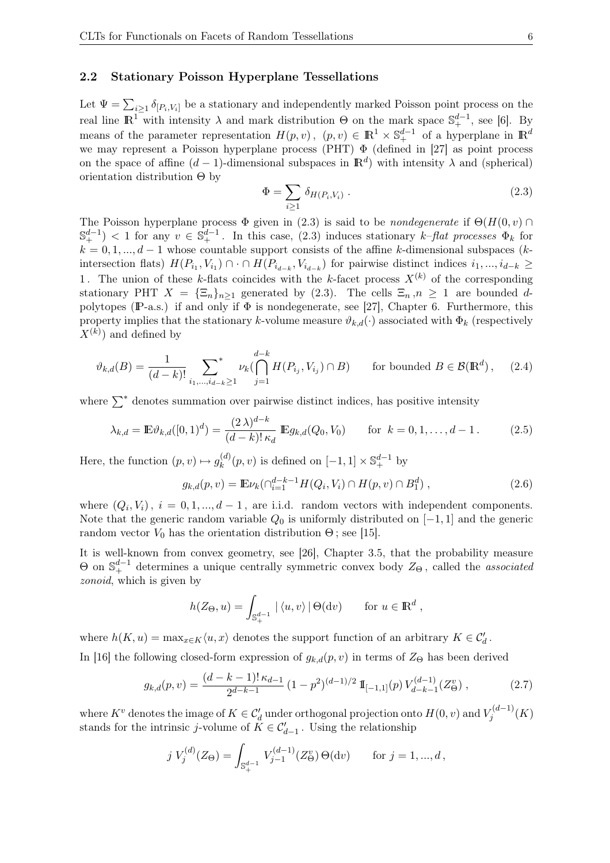#### 2.2 Stationary Poisson Hyperplane Tessellations

Let  $\Psi = \sum_{i\geq 1} \delta_{[P_i, V_i]}$  be a stationary and independently marked Poisson point process on the real line  $\mathbb{R}^1$  with intensity  $\lambda$  and mark distribution  $\Theta$  on the mark space  $\mathbb{S}^{d-1}_+$ , see [6]. By means of the parameter representation  $H(p, v)$ ,  $(p, v) \in \mathbb{R}^1 \times \mathbb{S}^{d-1}_+$  of a hyperplane in  $\mathbb{R}^d$ we may represent a Poisson hyperplane process (PHT) Φ (defined in [27] as point process on the space of affine  $(d-1)$ -dimensional subspaces in  $\mathbb{R}^d$ ) with intensity  $\lambda$  and (spherical) orientation distribution Θ by

$$
\Phi = \sum_{i \ge 1} \delta_{H(P_i, V_i)} \,. \tag{2.3}
$$

The Poisson hyperplane process  $\Phi$  given in (2.3) is said to be *nondegenerate* if  $\Theta(H(0, v) \cap$  $\mathbb{S}_{+}^{d-1}$   $<$  1 for any  $v \in \mathbb{S}_{+}^{d-1}$ . In this case, (2.3) induces stationary k-flat processes  $\Phi_k$  for  $k = 0, 1, ..., d - 1$  whose countable support consists of the affine k-dimensional subspaces (kintersection flats)  $H(P_{i_1}, V_{i_1}) \cap \cap H(P_{i_{d-k}}, V_{i_{d-k}})$  for pairwise distinct indices  $i_1, ..., i_{d-k} \ge$ 1. The union of these k-flats coincides with the k-facet process  $X^{(k)}$  of the corresponding stationary PHT  $X = {\sum_{n}}_{n \geq 1}$  generated by (2.3). The cells  $\Xi_n, n \geq 1$  are bounded dpolytopes (P-a.s.) if and only if  $\Phi$  is nondegenerate, see [27], Chapter 6. Furthermore, this property implies that the stationary k-volume measure  $\vartheta_{k,d}(\cdot)$  associated with  $\Phi_k$  (respectively  $X^{(k)}$ ) and defined by

$$
\vartheta_{k,d}(B) = \frac{1}{(d-k)!} \sum_{i_1,\dots,i_{d-k} \ge 1} \nu_k(\bigcap_{j=1}^{d-k} H(P_{i_j}, V_{i_j}) \cap B) \qquad \text{for bounded } B \in \mathcal{B}(\mathbb{R}^d), \quad (2.4)
$$

where  $\sum^*$  denotes summation over pairwise distinct indices, has positive intensity

$$
\lambda_{k,d} = \mathbb{E} \vartheta_{k,d}([0,1)^d) = \frac{(2\lambda)^{d-k}}{(d-k)! \kappa_d} \mathbb{E} g_{k,d}(Q_0, V_0) \quad \text{for } k = 0, 1, ..., d-1.
$$
 (2.5)

Here, the function  $(p, v) \mapsto g_k^{(d)}$  $\mathbf{g}_k^{(d)}(p,v)$  is defined on  $[-1,1] \times \mathbb{S}_+^{d-1}$  by

$$
g_{k,d}(p,v) = \mathbb{E}\nu_k(\bigcap_{i=1}^{d-k-1}H(Q_i,V_i)\cap H(p,v)\cap B_1^d),\tag{2.6}
$$

where  $(Q_i, V_i)$ ,  $i = 0, 1, ..., d - 1$ , are i.i.d. random vectors with independent components. Note that the generic random variable  $Q_0$  is uniformly distributed on [−1, 1] and the generic random vector  $V_0$  has the orientation distribution  $\Theta$ ; see [15].

It is well-known from convex geometry, see [26], Chapter 3.5, that the probability measure  $\Theta$  on  $\mathbb{S}_{+}^{d-1}$  determines a unique centrally symmetric convex body  $Z_{\Theta}$ , called the *associated* zonoid, which is given by

$$
h(Z_{\Theta}, u) = \int_{\mathbb{S}_+^{d-1}} |\langle u, v \rangle| \Theta(\mathrm{d}v) \quad \text{for } u \in \mathbb{R}^d,
$$

where  $h(K, u) = \max_{x \in K} \langle u, x \rangle$  denotes the support function of an arbitrary  $K \in \mathcal{C}'_d$ .

In [16] the following closed-form expression of  $g_{k,d}(p, v)$  in terms of  $Z_{\Theta}$  has been derived

$$
g_{k,d}(p,v) = \frac{(d-k-1)! \kappa_{d-1}}{2^{d-k-1}} \left(1 - p^2\right)^{(d-1)/2} \mathbb{I}_{[-1,1]}(p) \, V_{d-k-1}^{(d-1)}(Z_\Theta^v) \,,\tag{2.7}
$$

where  $K^v$  denotes the image of  $K \in \mathcal{C}'_d$  under orthogonal projection onto  $H(0, v)$  and  $V_j^{(d-1)}$  $j^{(u-1)}(K)$ stands for the intrinsic *j*-volume of  $K \in \mathcal{C}'_{d-1}$ . Using the relationship

$$
j V_j^{(d)}(Z_{\Theta}) = \int_{\mathbb{S}_+^{d-1}} V_{j-1}^{(d-1)}(Z_{\Theta}^v) \Theta(\mathrm{d}v) \quad \text{for } j = 1, ..., d,
$$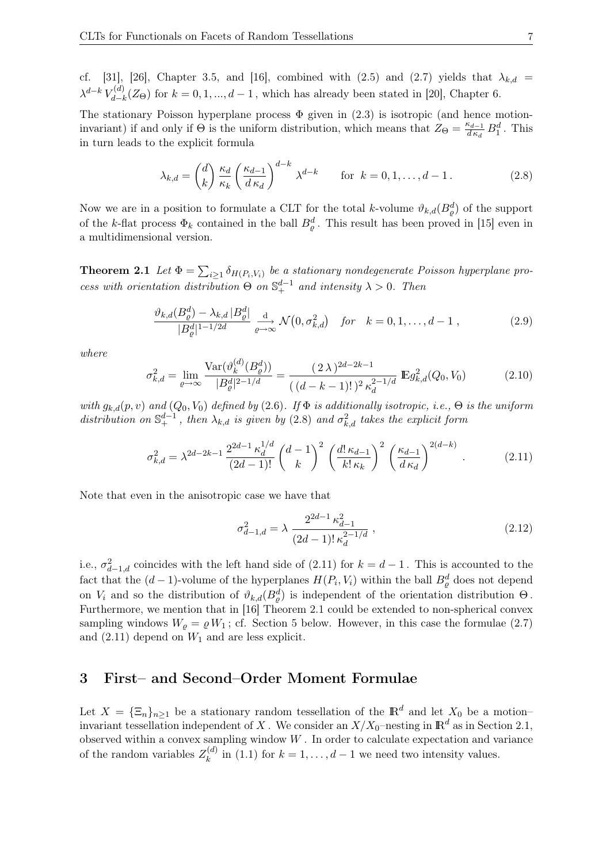cf. [31], [26], Chapter 3.5, and [16], combined with (2.5) and (2.7) yields that  $\lambda_{k,d}$  =  $\lambda^{d-k}$   $V_{d-l}^{(d)}$  $d_{d-k}^{(u)}(Z_{\Theta})$  for  $k = 0, 1, ..., d-1$ , which has already been stated in [20], Chapter 6.

The stationary Poisson hyperplane process  $\Phi$  given in (2.3) is isotropic (and hence motioninvariant) if and only if  $\Theta$  is the uniform distribution, which means that  $Z_{\Theta} = \frac{\kappa_{d-1}}{d\kappa_d}$  $\frac{\kappa_{d-1}}{d\,\kappa_d}\,B_1^d$ . This in turn leads to the explicit formula

$$
\lambda_{k,d} = \binom{d}{k} \frac{\kappa_d}{\kappa_k} \left(\frac{\kappa_{d-1}}{d \kappa_d}\right)^{d-k} \lambda^{d-k} \quad \text{for } k = 0, 1, \dots, d-1.
$$
 (2.8)

Now we are in a position to formulate a CLT for the total k-volume  $\vartheta_{k,d}(B_{\varrho}^d)$  of the support of the k-flat process  $\Phi_k$  contained in the ball  $B_{\varrho}^d$ . This result has been proved in [15] even in a multidimensional version.

**Theorem 2.1** Let  $\Phi = \sum_{i \geq 1} \delta_{H(P_i, V_i)}$  be a stationary nondegenerate Poisson hyperplane process with orientation distribution  $\Theta$  on  $\mathbb{S}^{d-1}_+$  and intensity  $\lambda > 0$ . Then

$$
\frac{\vartheta_{k,d}(B^d_\varrho) - \lambda_{k,d} |B^d_\varrho|}{|B^d_\varrho|^{1-1/2d}} \xrightarrow[\varrho \to \infty]{\mathrm{d}} \mathcal{N}\big(0, \sigma_{k,d}^2\big) \quad \text{for} \quad k = 0, 1, \dots, d - 1 \,, \tag{2.9}
$$

where

$$
\sigma_{k,d}^2 = \lim_{\varrho \to \infty} \frac{\text{Var}(\vartheta_k^{(d)}(B_{\varrho}^d))}{|B_{\varrho}^d|^{2-1/d}} = \frac{(2\,\lambda)^{2d-2k-1}}{((d-k-1)!)^2 \,\kappa_d^{2-1/d}} \, \mathbb{E}g_{k,d}^2(Q_0, V_0) \tag{2.10}
$$

with  $g_{k,d}(p, v)$  and  $(Q_0, V_0)$  defined by (2.6). If  $\Phi$  is additionally isotropic, i.e.,  $\Theta$  is the uniform distribution on  $\mathbb{S}^{d-1}_+$ , then  $\lambda_{k,d}$  is given by (2.8) and  $\sigma_{k,d}^2$  takes the explicit form

$$
\sigma_{k,d}^2 = \lambda^{2d-2k-1} \frac{2^{2d-1} \kappa_d^{1/d}}{(2d-1)!} \binom{d-1}{k}^2 \left(\frac{d! \kappa_{d-1}}{k! \kappa_k}\right)^2 \left(\frac{\kappa_{d-1}}{d \kappa_d}\right)^{2(d-k)}.
$$
 (2.11)

Note that even in the anisotropic case we have that

$$
\sigma_{d-1,d}^2 = \lambda \frac{2^{2d-1} \kappa_{d-1}^2}{(2d-1)! \kappa_d^{2-1/d}},
$$
\n(2.12)

i.e.,  $\sigma_{d-1,d}^2$  coincides with the left hand side of (2.11) for  $k = d - 1$ . This is accounted to the fact that the  $(d-1)$ -volume of the hyperplanes  $H(P_i, V_i)$  within the ball  $B_{\varrho}^d$  does not depend on  $V_i$  and so the distribution of  $\vartheta_{k,d}(B_{\varrho}^d)$  is independent of the orientation distribution  $\Theta$ . Furthermore, we mention that in [16] Theorem 2.1 could be extended to non-spherical convex sampling windows  $W_{\rho} = \rho W_1$ ; cf. Section 5 below. However, in this case the formulae (2.7) and  $(2.11)$  depend on  $W_1$  and are less explicit.

## 3 First– and Second–Order Moment Formulae

Let  $X = {\{\Xi_n\}}_{n \geq 1}$  be a stationary random tessellation of the  $\mathbb{R}^d$  and let  $X_0$  be a motioninvariant tessellation independent of X. We consider an  $X/X_0$ -nesting in  $\mathbb{R}^d$  as in Section 2.1, observed within a convex sampling window  $W$ . In order to calculate expectation and variance of the random variables  $Z_k^{(d)}$  $\binom{a}{k}$  in (1.1) for  $k = 1, ..., d - 1$  we need two intensity values.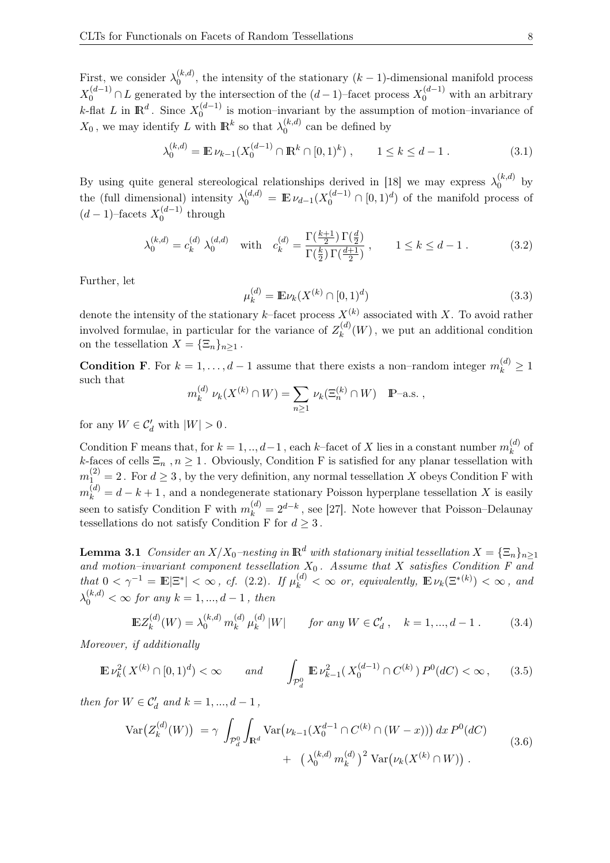First, we consider  $\lambda_0^{(k,d)}$  $\alpha_0^{(k,a)}$ , the intensity of the stationary  $(k-1)$ -dimensional manifold process  $X_0^{(d-1)} \cap L$  generated by the intersection of the  $(d-1)$ -facet process  $X_0^{(d-1)}$  with an arbitrary k-flat L in  $\mathbb{R}^d$ . Since  $X_0^{(d-1)}$  $\binom{a-1}{0}$  is motion–invariant by the assumption of motion–invariance of  $X_0$ , we may identify L with  $\mathbb{R}^k$  so that  $\lambda_0^{(k,d)}$  $\int_0^{\kappa,a}$  can be defined by

$$
\lambda_0^{(k,d)} = \mathbb{E}\,\nu_{k-1}(X_0^{(d-1)} \cap \mathbb{R}^k \cap [0,1)^k) , \qquad 1 \le k \le d-1 . \tag{3.1}
$$

By using quite general stereological relationships derived in [18] we may express  $\lambda_0^{(k,d)}$  $\int_0^{\kappa,\omega}$  by the (full dimensional) intensity  $\lambda_0^{(d,d)} = \mathbb{E} \nu_{d-1}(X_0^{(d-1)} \cap [0,1]^d)$  of the manifold process of  $(d-1)$ -facets  $X_0^{(d-1)}$  $_0^{(a-1)}$  through

$$
\lambda_0^{(k,d)} = c_k^{(d)} \ \lambda_0^{(d,d)} \quad \text{with} \quad c_k^{(d)} = \frac{\Gamma(\frac{k+1}{2}) \Gamma(\frac{d}{2})}{\Gamma(\frac{k}{2}) \Gamma(\frac{d+1}{2})} \,, \qquad 1 \le k \le d-1 \,. \tag{3.2}
$$

Further, let

$$
\mu_k^{(d)} = \mathbb{E}\nu_k(X^{(k)} \cap [0,1)^d)
$$
\n(3.3)

denote the intensity of the stationary k–facet process  $X^{(k)}$  associated with X. To avoid rather involved formulae, in particular for the variance of  $Z_k^{(d)}$  $\kappa^{(u)}(W)$ , we put an additional condition on the tessellation  $X = {\{\Xi_n\}}_{n\geq 1}$ .

**Condition F**. For  $k = 1, ..., d - 1$  assume that there exists a non–random integer  $m_k^{(d)} \ge 1$ such that

$$
m_k^{(d)} \nu_k(X^{(k)} \cap W) = \sum_{n \ge 1} \nu_k(\Xi_n^{(k)} \cap W) \quad \mathbb{P}\text{-a.s.} \ ,
$$

for any  $W \in \mathcal{C}'_d$  with  $|W| > 0$ .

Condition F means that, for  $k = 1, ..., d-1$ , each k–facet of X lies in a constant number  $m_k^{(d)}$  $k^{(u)}$  of k-faces of cells  $\Xi_n$ ,  $n \geq 1$ . Obviously, Condition F is satisfied for any planar tessellation with  $m_{1}^{(2)} = 2$ . For  $d \geq 3$ , by the very definition, any normal tessellation X obeys Condition F with  $m_k^{(d)} = d - k + 1$ , and a nondegenerate stationary Poisson hyperplane tessellation X is easily seen to satisfy Condition F with  $m_k^{(d)} = 2^{d-k}$ , see [27]. Note however that Poisson–Delaunay tessellations do not satisfy Condition F for  $d \geq 3$ .

**Lemma 3.1** Consider an  $X/X_0$ –nesting in  $\mathbb{R}^d$  with stationary initial tessellation  $X = {\{\Xi_n\}}_{n\geq 1}$ and motion–invariant component tessellation  $X_0$ . Assume that X satisfies Condition F and  $that\ 0 < \gamma^{-1} = \mathbb{E}|\Xi^*| < \infty$ , cf. (2.2). If  $\mu_k^{(d)} < \infty$  or, equivalently,  $\mathbb{E} \nu_k(\Xi^{*(k)}) < \infty$ , and  $\lambda_0^{(k,d)} < \infty$  for any  $k = 1, ..., d - 1$ , then

$$
\mathbb{E}Z_k^{(d)}(W) = \lambda_0^{(k,d)} m_k^{(d)} \mu_k^{(d)} |W| \quad \text{for any } W \in \mathcal{C}'_d, \quad k = 1, ..., d - 1. \tag{3.4}
$$

Moreover, if additionally

$$
\mathbb{E}\,\nu_k^2(\,X^{(k)}\cap[0,1)^d) < \infty \qquad \text{and} \qquad \int_{\mathcal{P}_d^0} \mathbb{E}\,\nu_{k-1}^2(\,X_0^{(d-1)}\cap C^{(k)}\,) \,P^0(dC) < \infty \,,\tag{3.5}
$$

then for  $W \in \mathcal{C}'_d$  and  $k = 1, ..., d - 1$ ,

$$
\operatorname{Var}\big(Z_k^{(d)}(W)\big) \ = \gamma \ \int_{\mathcal{P}_d^0} \int_{\mathbf{R}^d} \operatorname{Var}\big(\nu_{k-1}(X_0^{d-1} \cap C^{(k)} \cap (W-x))\big) \, dx \, P^0(dC) \\ \ + \ \left(\lambda_0^{(k,d)} m_k^{(d)}\right)^2 \operatorname{Var}\big(\nu_k(X^{(k)} \cap W)\big) \, . \tag{3.6}
$$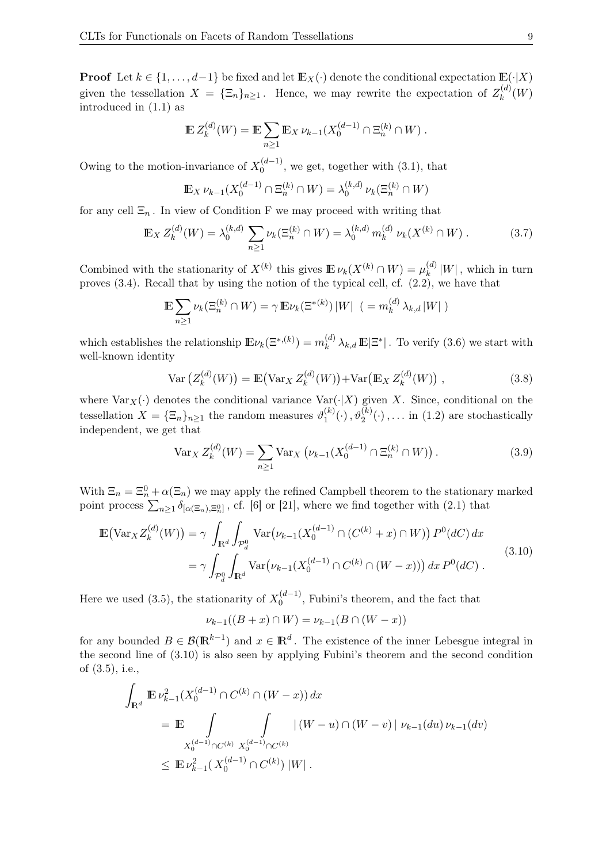**Proof** Let  $k \in \{1, ..., d-1\}$  be fixed and let  $\mathbb{E}_X(\cdot)$  denote the conditional expectation  $\mathbb{E}(\cdot|X)$ given the tessellation  $X = {\{\Xi_n\}}_{n \geq 1}$ . Hence, we may rewrite the expectation of  $Z_k^{(d)}$  $\chi_k^{(u)}(W)$ introduced in (1.1) as

$$
\mathbb{E} Z_k^{(d)}(W) = \mathbb{E} \sum_{n \ge 1} \mathbb{E}_X \nu_{k-1}(X_0^{(d-1)} \cap \Xi_n^{(k)} \cap W) .
$$

Owing to the motion-invariance of  $X_0^{(d-1)}$  $\binom{(a-1)}{0}$ , we get, together with  $(3.1)$ , that

$$
\mathbb{E}_X \nu_{k-1}(X_0^{(d-1)} \cap \Xi_n^{(k)} \cap W) = \lambda_0^{(k,d)} \nu_k(\Xi_n^{(k)} \cap W)
$$

for any cell  $\Xi_n$ . In view of Condition F we may proceed with writing that

$$
\mathbb{E}_X Z_k^{(d)}(W) = \lambda_0^{(k,d)} \sum_{n \ge 1} \nu_k(\Xi_n^{(k)} \cap W) = \lambda_0^{(k,d)} m_k^{(d)} \nu_k(X^{(k)} \cap W) . \tag{3.7}
$$

Combined with the stationarity of  $X^{(k)}$  this gives  $\mathbb{E} \nu_k(X^{(k)} \cap W) = \mu_k^{(d)}$  $\int_{k}^{(u)} |W|$ , which in turn proves (3.4). Recall that by using the notion of the typical cell, cf. (2.2), we have that

$$
\mathbb{E}\sum_{n\geq 1}\nu_k(\Xi_n^{(k)}\cap W)=\gamma\,\mathbb{E}\nu_k(\Xi^{*(k)})\,|W|\ \ (-m_k^{(d)}\,\lambda_{k,d}\,|W|)
$$

which establishes the relationship  $\mathbb{E} \nu_k(\Xi^{*,(k)}) = m_k^{(d)}$  $_{k}^{(d)}\lambda_{k,d}\mathbb{E}|\Xi^*|$ . To verify (3.6) we start with well-known identity

$$
Var\left(Z_k^{(d)}(W)\right) = \mathbb{E}\left(\text{Var}_X Z_k^{(d)}(W)\right) + \text{Var}\left(\mathbb{E}_X Z_k^{(d)}(W)\right),\tag{3.8}
$$

where  $\text{Var}_X(\cdot)$  denotes the conditional variance  $\text{Var}(\cdot|X)$  given X. Since, conditional on the tessellation  $X = {\{\Xi_n\}}_{n \geq 1}$  the random measures  $\vartheta_1^{(k)}$  $1 \choose 1$  (c),  $\vartheta_2^{(k)}(\cdot)$ ,... in (1.2) are stochastically independent, we get that

$$
\text{Var}_X \, Z_k^{(d)}(W) = \sum_{n \ge 1} \text{Var}_X \left( \nu_{k-1}(X_0^{(d-1)} \cap \Xi_n^{(k)} \cap W) \right). \tag{3.9}
$$

With  $\Xi_n = \Xi_n^0 + \alpha(\Xi_n)$  we may apply the refined Campbell theorem to the stationary marked point process  $\sum_{n\geq 1} \delta_{[\alpha(\Xi_n),\Xi_n^0]}$ , cf. [6] or [21], where we find together with (2.1) that

$$
\mathbb{E}(\text{Var}_X Z_k^{(d)}(W)) = \gamma \int_{\mathbf{R}^d} \int_{\mathcal{P}_d^0} \text{Var}(\nu_{k-1}(X_0^{(d-1)} \cap (C^{(k)} + x) \cap W)) P^0(dC) dx
$$
  
=  $\gamma \int_{\mathcal{P}_d^0} \int_{\mathbf{R}^d} \text{Var}(\nu_{k-1}(X_0^{(d-1)} \cap C^{(k)} \cap (W - x))) dx P^0(dC).$  (3.10)

Here we used (3.5), the stationarity of  $X_0^{(d-1)}$  $\binom{(a-1)}{0}$ , Fubini's theorem, and the fact that

$$
\nu_{k-1}((B + x) \cap W) = \nu_{k-1}(B \cap (W - x))
$$

for any bounded  $B \in \mathcal{B}(\mathbb{R}^{k-1})$  and  $x \in \mathbb{R}^d$ . The existence of the inner Lebesgue integral in the second line of (3.10) is also seen by applying Fubini's theorem and the second condition of (3.5), i.e.,

$$
\int_{\mathbf{R}^d} \mathbb{E} \nu_{k-1}^2(X_0^{(d-1)} \cap C^{(k)} \cap (W - x)) dx
$$
\n
$$
= \mathbb{E} \int_{X_0^{(d-1)} \cap C^{(k)}} \int_{X_0^{(d-1)} \cap C^{(k)}} |(W - u) \cap (W - v)| \nu_{k-1}(du) \nu_{k-1}(dv)
$$
\n
$$
\leq \mathbb{E} \nu_{k-1}^2(X_0^{(d-1)} \cap C^{(k)}) |W|.
$$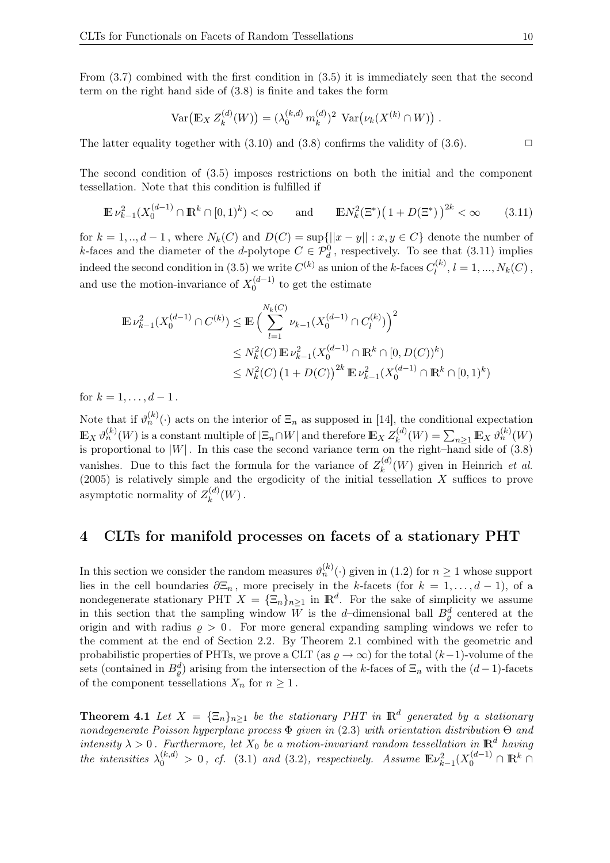From (3.7) combined with the first condition in (3.5) it is immediately seen that the second term on the right hand side of (3.8) is finite and takes the form

$$
Var(E_X Z_k^{(d)}(W)) = (\lambda_0^{(k,d)} m_k^{(d)})^2 Var(\nu_k(X^{(k)} \cap W)).
$$

The latter equality together with  $(3.10)$  and  $(3.8)$  confirms the validity of  $(3.6)$ .

The second condition of (3.5) imposes restrictions on both the initial and the component tessellation. Note that this condition is fulfilled if

$$
\mathbb{E}\,\nu_{k-1}^2(X_0^{(d-1)}\cap\mathbb{R}^k\cap[0,1)^k) < \infty \qquad \text{and} \qquad \mathbb{E}\,N_k^2(\Xi^*)\big(1+D(\Xi^*)\big)^{2k} < \infty \tag{3.11}
$$

for  $k = 1, ..., d - 1$ , where  $N_k(C)$  and  $D(C) = \sup\{|x - y| : x, y \in C\}$  denote the number of k-faces and the diameter of the d-polytope  $C \in \mathcal{P}_d^0$ , respectively. To see that (3.11) implies indeed the second condition in (3.5) we write  $C^{(k)}$  as union of the k-faces  $C_l^{(k)}$  $l_l^{(k)}, l = 1, ..., N_k(C)$ , and use the motion-invariance of  $X_0^{(d-1)}$  $_0^{(u-1)}$  to get the estimate

$$
\mathbb{E}\,\nu_{k-1}^2(X_0^{(d-1)}\cap C^{(k)}) \leq \mathbb{E}\,\Big(\sum_{l=1}^{N_k(C)}\nu_{k-1}(X_0^{(d-1)}\cap C_l^{(k)})\Big)^2\\ \leq N_k^2(C)\,\mathbb{E}\,\nu_{k-1}^2(X_0^{(d-1)}\cap \mathbb{R}^k\cap [0,D(C))^k)\\ \leq N_k^2(C)\,\big(1+D(C)\big)^{2k}\,\mathbb{E}\,\nu_{k-1}^2(X_0^{(d-1)}\cap \mathbb{R}^k\cap [0,1)^k)
$$

for  $k = 1, ..., d - 1$ .

Note that if  $\vartheta_n^{(k)}(\cdot)$  acts on the interior of  $\Xi_n$  as supposed in [14], the conditional expectation  $\mathbb{E}_X \vartheta_n^{(k)}(W)$  is a constant multiple of  $|\Xi_n \cap W|$  and therefore  $\mathbb{E}_X Z^{(d)}_k$  $\chi_k^{(d)}(W) = \sum_{n\geq 1} \mathbb{E}_X \vartheta^{(k)}_n(W)$ is proportional to  $|W|$ . In this case the second variance term on the right–hand side of (3.8) vanishes. Due to this fact the formula for the variance of  $Z_k^{(d)}$  $k^{(u)}(W)$  given in Heinrich et al. (2005) is relatively simple and the ergodicity of the initial tessellation  $X$  suffices to prove asymptotic normality of  $Z_k^{(d)}$  $\binom{u}{k}(W)$  .

## 4 CLTs for manifold processes on facets of a stationary PHT

In this section we consider the random measures  $\vartheta_n^{(k)}(\cdot)$  given in (1.2) for  $n \geq 1$  whose support lies in the cell boundaries  $\partial \Xi_n$ , more precisely in the k-facets (for  $k = 1, \ldots, d - 1$ ), of a nondegenerate stationary PHT  $X = {\{\Xi_n\}}_{n \geq 1}$  in  $\mathbb{R}^d$ . For the sake of simplicity we assume in this section that the sampling window W is the d-dimensional ball  $B_{\varrho}^{d}$  centered at the origin and with radius  $\rho > 0$ . For more general expanding sampling windows we refer to the comment at the end of Section 2.2. By Theorem 2.1 combined with the geometric and probabilistic properties of PHTs, we prove a CLT (as  $\varrho \to \infty$ ) for the total  $(k-1)$ -volume of the sets (contained in  $B_{\varrho}^{d}$ ) arising from the intersection of the k-faces of  $\Xi_n$  with the  $(d-1)$ -facets of the component tessellations  $X_n$  for  $n \geq 1$ .

**Theorem 4.1** Let  $X = {\{\Xi_n\}}_{n \geq 1}$  be the stationary PHT in  $\mathbb{R}^d$  generated by a stationary nondegenerate Poisson hyperplane process  $\Phi$  given in (2.3) with orientation distribution  $\Theta$  and intensity  $\lambda > 0$ . Furthermore, let  $X_0$  be a motion-invariant random tessellation in  $\mathbb{R}^d$  having the intensities  $\lambda_0^{(k,d)} > 0$ , cf. (3.1) and (3.2), respectively. Assume  $\mathbb{E} \nu_{k-1}^2 (X_0^{(d-1)} \cap \mathbb{R}^k \cap$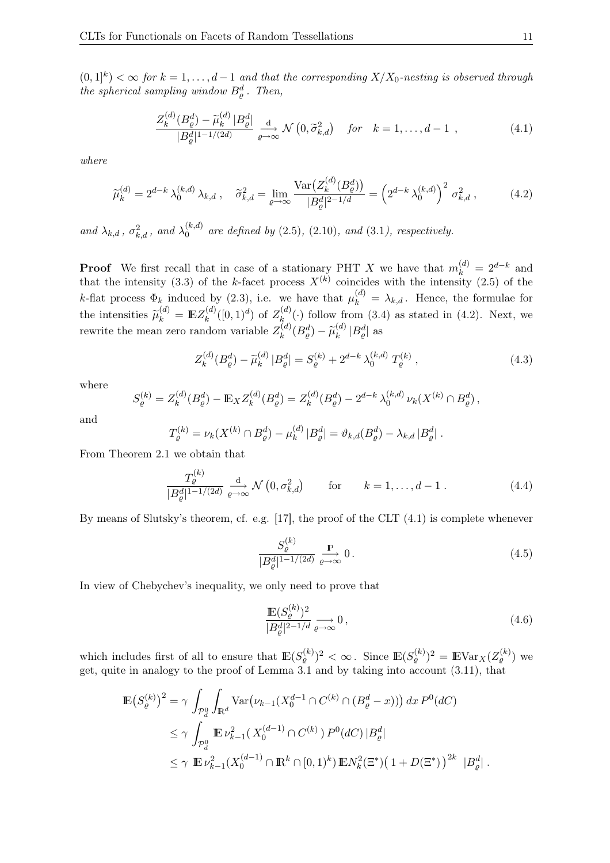$(0,1]^k$   $<$   $\infty$  for  $k = 1, \ldots, d-1$  and that the corresponding  $X/X_0$ -nesting is observed through the spherical sampling window  $B^d_{\varrho}$ . Then,

$$
\frac{Z_k^{(d)}(B_{\varrho}^d) - \widetilde{\mu}_k^{(d)} |B_{\varrho}^d|}{|B_{\varrho}^d|^{1-1/(2d)}} \xrightarrow[\varrho \to \infty]{\text{d}} \mathcal{N}\left(0, \widetilde{\sigma}_{k,d}^2\right) \quad \text{for} \quad k = 1, \dots, d-1 \tag{4.1}
$$

where

$$
\widetilde{\mu}_{k}^{(d)} = 2^{d-k} \lambda_{0}^{(k,d)} \lambda_{k,d} , \quad \widetilde{\sigma}_{k,d}^{2} = \lim_{\varrho \to \infty} \frac{\text{Var}\big(Z_{k}^{(d)}(B_{\varrho}^{d})\big)}{|B_{\varrho}^{d}|^{2-1/d}} = \left(2^{d-k} \lambda_{0}^{(k,d)}\right)^{2} \sigma_{k,d}^{2} , \tag{4.2}
$$

and  $\lambda_{k,d}$ ,  $\sigma_{k,d}^2$ , and  $\lambda_0^{(k,d)}$  $_{0}^{(\kappa,a)}$  are defined by (2.5), (2.10), and (3.1), respectively.

**Proof** We first recall that in case of a stationary PHT X we have that  $m_k^{(d)} = 2^{d-k}$  and that the intensity (3.3) of the k-facet process  $X^{(k)}$  coincides with the intensity (2.5) of the k-flat process  $\Phi_k$  induced by (2.3), i.e. we have that  $\mu_k^{(d)} = \lambda_{k,d}$ . Hence, the formulae for the intensities  $\widetilde{\mu}_k^{(d)} = \mathbb{E} Z_k^{(d)}$  $k^{(d)}([0,1)^d)$  of  $Z_k^{(d)}$  $\mathcal{R}_{k}^{(a)}(\cdot)$  follow from (3.4) as stated in (4.2). Next, we rewrite the mean zero random variable  $Z_k^{(d)}$  $\widetilde{\mu}_k^{(d)}(B_\varrho^d)-\widetilde{\mu}_k^{(d)}$  $_{k}^{\left( d\right) }\left\vert B_{\varrho}^{d}\right\vert$  as

$$
Z_k^{(d)}(B_\varrho^d) - \widetilde{\mu}_k^{(d)} |B_\varrho^d| = S_\varrho^{(k)} + 2^{d-k} \lambda_0^{(k,d)} T_\varrho^{(k)}, \qquad (4.3)
$$

where

$$
S_{\varrho}^{(k)} = Z_{k}^{(d)}(B_{\varrho}^{d}) - \mathbb{E}_{X} Z_{k}^{(d)}(B_{\varrho}^{d}) = Z_{k}^{(d)}(B_{\varrho}^{d}) - 2^{d-k} \lambda_{0}^{(k,d)} \nu_{k}(X^{(k)} \cap B_{\varrho}^{d}),
$$

and

$$
T_{\varrho}^{(k)} = \nu_k(X^{(k)} \cap B_{\varrho}^d) - \mu_k^{(d)} |B_{\varrho}^d| = \vartheta_{k,d}(B_{\varrho}^d) - \lambda_{k,d} |B_{\varrho}^d|.
$$

From Theorem 2.1 we obtain that

$$
\frac{T_{\varrho}^{(k)}}{|B_{\varrho}^{d}|^{1-1/(2d)}} \xrightarrow[\varrho \to \infty]{\text{d}} \mathcal{N}\left(0, \sigma_{k,d}^{2}\right) \qquad \text{for} \qquad k = 1, \dots, d-1. \tag{4.4}
$$

By means of Slutsky's theorem, cf. e.g. [17], the proof of the CLT (4.1) is complete whenever

$$
\frac{S_{\varrho}^{(k)}}{|B_{\varrho}^{d}|^{1-1/(2d)}} \xrightarrow[\varrho \to \infty]{} 0.
$$
\n(4.5)

In view of Chebychev's inequality, we only need to prove that

$$
\frac{\mathbb{E}(S_{\varrho}^{(k)})^2}{|B_{\varrho}^d|^{2-1/d}} \xrightarrow[\rho \to \infty]{} 0, \tag{4.6}
$$

which includes first of all to ensure that  $\mathbb{E}(S_{\varrho}^{(k)})^2 < \infty$ . Since  $\mathbb{E}(S_{\varrho}^{(k)})^2 = \mathbb{E} \text{Var}_X(Z_{\varrho}^{(k)})$  we get, quite in analogy to the proof of Lemma 3.1 and by taking into account (3.11), that

$$
\mathbb{E}\left(S_{\varrho}^{(k)}\right)^{2} = \gamma \int_{\mathcal{P}_{d}^{0}} \int_{\mathbf{R}^{d}} \text{Var}\left(\nu_{k-1}(X_{0}^{d-1} \cap C^{(k)} \cap (B_{\varrho}^{d} - x))\right) dx P^{0}(dC)
$$
\n
$$
\leq \gamma \int_{\mathcal{P}_{d}^{0}} \mathbb{E}\,\nu_{k-1}^{2}\left(X_{0}^{(d-1)} \cap C^{(k)}\right) P^{0}(dC) |B_{\varrho}^{d}|
$$
\n
$$
\leq \gamma \mathbb{E}\,\nu_{k-1}^{2}\left(X_{0}^{(d-1)} \cap \mathbb{R}^{k} \cap [0,1)^{k}\right) \mathbb{E} N_{k}^{2}(\Xi^{*})\left(1 + D(\Xi^{*})\right)^{2k} |B_{\varrho}^{d}|.
$$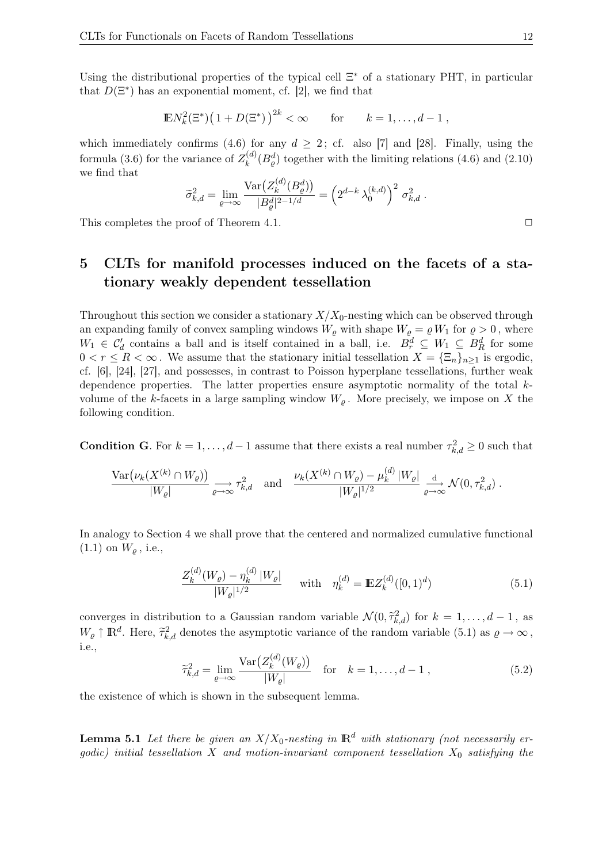Using the distributional properties of the typical cell  $\Xi^*$  of a stationary PHT, in particular that  $D(\Xi^*)$  has an exponential moment, cf. [2], we find that

$$
\mathbb{E} N_k^2(\Xi^*) (1 + D(\Xi^*))^{2k} < \infty \quad \text{for} \quad k = 1, ..., d - 1,
$$

which immediately confirms (4.6) for any  $d \geq 2$ ; cf. also [7] and [28]. Finally, using the formula (3.6) for the variance of  $Z_k^{(d)}$  $\binom{d}{k}(B_{\varrho}^{d})$  together with the limiting relations (4.6) and (2.10) we find that

$$
\widetilde{\sigma}_{k,d}^2 = \lim_{\varrho \to \infty} \frac{\text{Var}\big(Z_k^{(d)}(B_{\varrho}^d)\big)}{|B_{\varrho}^d|^{2-1/d}} = \left(2^{d-k}\lambda_0^{(k,d)}\right)^2 \sigma_{k,d}^2.
$$

This completes the proof of Theorem 4.1.  $\Box$ 

## 5 CLTs for manifold processes induced on the facets of a stationary weakly dependent tessellation

Throughout this section we consider a stationary  $X/X_0$ -nesting which can be observed through an expanding family of convex sampling windows  $W_{\varrho}$  with shape  $W_{\varrho} = \varrho W_1$  for  $\varrho > 0$ , where  $W_1 \in C'_d$  contains a ball and is itself contained in a ball, i.e.  $B_r^d \subseteq W_1 \subseteq B_R^d$  for some  $0 < r \leq R < \infty$ . We assume that the stationary initial tessellation  $X = {\{\Xi_n\}}_{n \geq 1}$  is ergodic, cf. [6], [24], [27], and possesses, in contrast to Poisson hyperplane tessellations, further weak dependence properties. The latter properties ensure asymptotic normality of the total kvolume of the k-facets in a large sampling window  $W_{\varrho}$ . More precisely, we impose on X the following condition.

**Condition G.** For  $k = 1, ..., d - 1$  assume that there exists a real number  $\tau_{k,d}^2 \geq 0$  such that

$$
\frac{\text{Var}(\nu_k(X^{(k)} \cap W_{\varrho}))}{|W_{\varrho}|} \underset{\varrho \to \infty}{\longrightarrow} \tau_{k,d}^2 \quad \text{and} \quad \frac{\nu_k(X^{(k)} \cap W_{\varrho}) - \mu_k^{(d)} |W_{\varrho}|}{|W_{\varrho}|^{1/2}} \xrightarrow{\mathrm{d}} \mathcal{N}(0, \tau_{k,d}^2) .
$$

In analogy to Section 4 we shall prove that the centered and normalized cumulative functional  $(1.1)$  on  $W_{\varrho}$ , i.e.,

$$
\frac{Z_k^{(d)}(W_\varrho) - \eta_k^{(d)}|W_\varrho|}{|W_\varrho|^{1/2}} \quad \text{with} \quad \eta_k^{(d)} = \mathbb{E} Z_k^{(d)}([0,1)^d) \tag{5.1}
$$

converges in distribution to a Gaussian random variable  $\mathcal{N}(0, \tilde{\tau}_{k,d}^2)$  for  $k = 1, \ldots, d-1$ , as  $W_{\varrho} \uparrow \mathbb{R}^d$ . Here,  $\tilde{\tau}_{k,d}^2$  denotes the asymptotic variance of the random variable (5.1) as  $\varrho \to \infty$ , i.e.,

$$
\widetilde{\tau}_{k,d}^2 = \lim_{\varrho \to \infty} \frac{\text{Var}\big(Z_k^{(d)}(W_{\varrho})\big)}{|W_{\varrho}|} \quad \text{for} \quad k = 1, \dots, d - 1 \,, \tag{5.2}
$$

the existence of which is shown in the subsequent lemma.

**Lemma 5.1** Let there be given an  $X/X_0$ -nesting in  $\mathbb{R}^d$  with stationary (not necessarily ergodic) initial tessellation X and motion-invariant component tessellation  $X_0$  satisfying the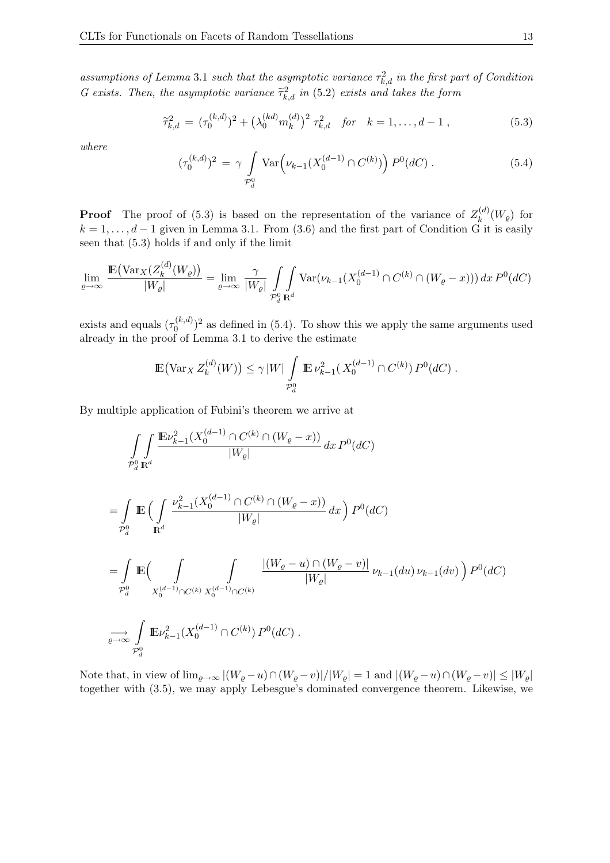assumptions of Lemma 3.1 such that the asymptotic variance  $\tau_{k,d}^2$  in the first part of Condition G exists. Then, the asymptotic variance  $\tilde{\tau}_{k,d}^2$  in (5.2) exists and takes the form

$$
\widetilde{\tau}_{k,d}^2 = (\tau_0^{(k,d)})^2 + (\lambda_0^{(kd)} m_k^{(d)})^2 \tau_{k,d}^2 \quad \text{for} \quad k = 1, \dots, d-1 \,, \tag{5.3}
$$

where

$$
(\tau_0^{(k,d)})^2 = \gamma \int\limits_{\mathcal{P}_d^0} \text{Var}\Big(\nu_{k-1}(X_0^{(d-1)} \cap C^{(k)})\Big) P^0(dC) \,. \tag{5.4}
$$

**Proof** The proof of (5.3) is based on the representation of the variance of  $Z_k^{(d)}$  $\chi_k^{(u)}(W_{\varrho})$  for  $k = 1, \ldots, d-1$  given in Lemma 3.1. From  $(3.6)$  and the first part of Condition G it is easily seen that (5.3) holds if and only if the limit

$$
\lim_{\varrho \to \infty} \frac{\mathbb{E}(\text{Var}_X(Z_k^{(d)}(W_{\varrho}))}{|W_{\varrho}|} = \lim_{\varrho \to \infty} \frac{\gamma}{|W_{\varrho}|} \int_{\mathcal{P}_d^0} \int_{\mathbf{R}^d} \text{Var}(\nu_{k-1}(X_0^{(d-1)} \cap C^{(k)} \cap (W_{\varrho} - x))) dx P^0(dC)
$$

exists and equals  $(\tau_0^{(k,d)})$  $\binom{(\kappa,d)}{0}$  as defined in (5.4). To show this we apply the same arguments used already in the proof of Lemma 3.1 to derive the estimate

$$
\mathbb{E}(\text{Var}_X Z_k^{(d)}(W)) \le \gamma |W| \int_{\mathcal{P}_d^0} \mathbb{E} \nu_{k-1}^2(X_0^{(d-1)} \cap C^{(k)}) P^0(dC).
$$

By multiple application of Fubini's theorem we arrive at

$$
\iint_{\mathcal{P}_d^0} \frac{\mathbb{E} \nu_{k-1}^2(X_0^{(d-1)} \cap C^{(k)} \cap (W_{\varrho} - x))}{|W_{\varrho}|} dx P^0(dC)
$$
\n
$$
= \int_{\mathcal{P}_d^0} \mathbb{E} \left( \int_{\mathcal{P}_d^0} \frac{\nu_{k-1}^2(X_0^{(d-1)} \cap C^{(k)} \cap (W_{\varrho} - x))}{|W_{\varrho}|} dx \right) P^0(dC)
$$
\n
$$
= \int_{\mathcal{P}_d^0} \mathbb{E} \left( \int_{X_0^{(d-1)} \cap C^{(k)}} \int_{X_0^{(d-1)} \cap C^{(k)}} \frac{|(W_{\varrho} - u) \cap (W_{\varrho} - v)|}{|W_{\varrho}|} \nu_{k-1}(du) \nu_{k-1}(dv) \right) P^0(dC)
$$
\n
$$
\implies \int_{\mathcal{P}_d^0} \mathbb{E} \nu_{k-1}^2(X_0^{(d-1)} \cap C^{(k)}) P^0(dC).
$$

Note that, in view of  $\lim_{\varrho\to\infty} |(W_{\varrho}-u)\cap(W_{\varrho}-v)|/|W_{\varrho}|=1$  and  $|(W_{\varrho}-u)\cap(W_{\varrho}-v)|\leq |W_{\varrho}|$ together with (3.5), we may apply Lebesgue's dominated convergence theorem. Likewise, we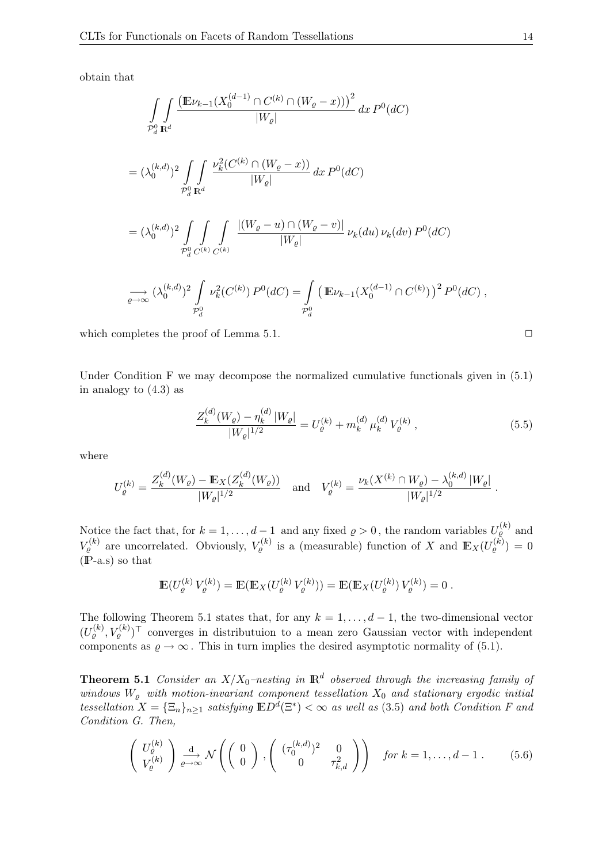obtain that

$$
\iint_{\mathcal{P}_d^0} \frac{\left(\mathbb{E}\nu_{k-1}(X_0^{(d-1)} \cap C^{(k)} \cap (W_{\varrho} - x))\right)^2}{|W_{\varrho}|} dx P^0(dC)
$$
\n
$$
= (\lambda_0^{(k,d)})^2 \iint_{\mathcal{P}_d^0} \frac{\nu_k^2 (C^{(k)} \cap (W_{\varrho} - x))}{|W_{\varrho}|} dx P^0(dC)
$$
\n
$$
= (\lambda_0^{(k,d)})^2 \iint_{\mathcal{P}_d^0} \int_{C^{(k)}} \frac{|(W_{\varrho} - u) \cap (W_{\varrho} - v)|}{|W_{\varrho}|} \nu_k(du) \nu_k(dv) P^0(dC)
$$
\n
$$
\xrightarrow[\varrho \to \infty]{\sim} (\lambda_0^{(k,d)})^2 \iint_{\mathcal{P}_d^0} \nu_k^2 (C^{(k)}) P^0(dC) = \iint_{\mathcal{P}_d^0} (\mathbb{E}\nu_{k-1}(X_0^{(d-1)} \cap C^{(k)}))^2 P^0(dC),
$$

which completes the proof of Lemma 5.1.  $\Box$ 

Under Condition F we may decompose the normalized cumulative functionals given in  $(5.1)$ 

in analogy to 
$$
(4.3)
$$
 as

$$
\frac{Z_k^{(d)}(W_\varrho) - \eta_k^{(d)}|W_\varrho|}{|W_\varrho|^{1/2}} = U_\varrho^{(k)} + m_k^{(d)}\,\mu_k^{(d)}\,V_\varrho^{(k)}\,,\tag{5.5}
$$

where

$$
U_{\varrho}^{(k)} = \frac{Z_{k}^{(d)}(W_{\varrho}) - \mathbb{E}_{X}(Z_{k}^{(d)}(W_{\varrho}))}{|W_{\varrho}|^{1/2}} \quad \text{and} \quad V_{\varrho}^{(k)} = \frac{\nu_{k}(X^{(k)} \cap W_{\varrho}) - \lambda_{0}^{(k,d)}|W_{\varrho}|}{|W_{\varrho}|^{1/2}}
$$

Notice the fact that, for  $k = 1, ..., d-1$  and any fixed  $\varrho > 0$ , the random variables  $U_{\rho}^{(k)}$  and  $V_{\varrho}^{(k)}$  are uncorrelated. Obviously,  $V_{\varrho}^{(k)}$  is a (measurable) function of X and  $\mathbb{E}_X(U_{\varrho}^{(k)})=0$  $(P-a.s)$  so that

$$
\mathbb{E}(U_{\varrho}^{(k)} V_{\varrho}^{(k)}) = \mathbb{E}(\mathbb{E}_X(U_{\varrho}^{(k)} V_{\varrho}^{(k)})) = \mathbb{E}(\mathbb{E}_X(U_{\varrho}^{(k)}) V_{\varrho}^{(k)}) = 0.
$$

The following Theorem 5.1 states that, for any  $k = 1, \ldots, d - 1$ , the two-dimensional vector  $(U_{\varrho}^{(k)}, V_{\varrho}^{(k)})^{\top}$  converges in distributuion to a mean zero Gaussian vector with independent components as  $\varrho \to \infty$ . This in turn implies the desired asymptotic normality of (5.1).

**Theorem 5.1** Consider an  $X/X_0$ -nesting in  $\mathbb{R}^d$  observed through the increasing family of windows  $W_{\varrho}$  with motion-invariant component tessellation  $X_0$  and stationary ergodic initial tessellation  $X = {\{\Xi_n\}}_{n \geq 1}$  satisfying  $\mathbb{E}D^d(\Xi^*) < \infty$  as well as (3.5) and both Condition F and Condition G. Then,

$$
\begin{pmatrix} U_{\varrho}^{(k)} \\ V_{\varrho}^{(k)} \end{pmatrix} \xrightarrow[\varrho \to \infty]{\text{d}} \mathcal{N} \left( \begin{pmatrix} 0 \\ 0 \end{pmatrix}, \begin{pmatrix} (\tau_0^{(k,d)})^2 & 0 \\ 0 & \tau_{k,d}^2 \end{pmatrix} \right) \quad \text{for } k = 1, \dots, d-1 \,. \tag{5.6}
$$

.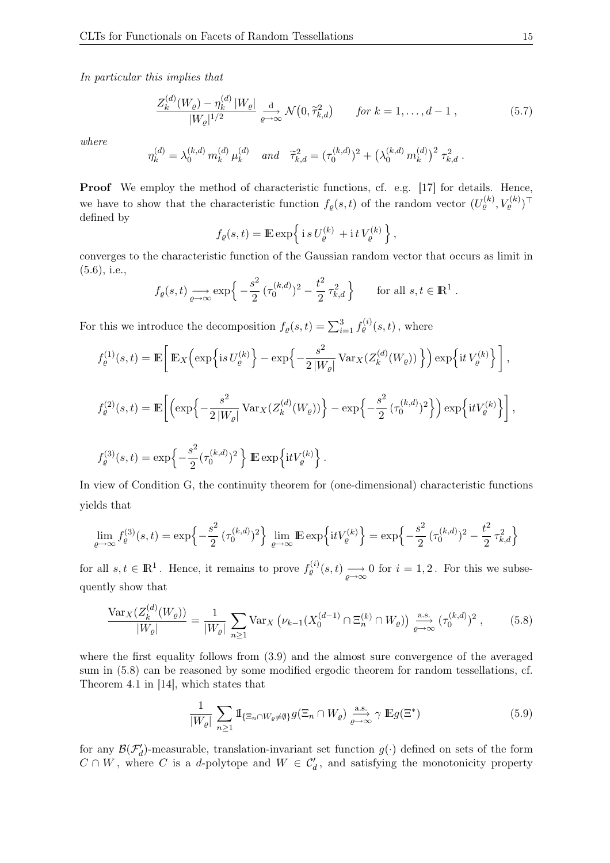In particular this implies that

$$
\frac{Z_k^{(d)}(W_{\varrho}) - \eta_k^{(d)}|W_{\varrho}|}{|W_{\varrho}|^{1/2}} \xrightarrow[\varrho \to \infty]{\text{d}} \mathcal{N}\big(0, \tilde{\tau}_{k,d}^2\big) \qquad \text{for } k = 1, \dots, d - 1 , \tag{5.7}
$$

where

$$
\eta_k^{(d)} = \lambda_0^{(k,d)} m_k^{(d)} \mu_k^{(d)} \quad and \quad \tilde{\tau}_{k,d}^2 = (\tau_0^{(k,d)})^2 + \left(\lambda_0^{(k,d)} m_k^{(d)}\right)^2 \tau_{k,d}^2.
$$

Proof We employ the method of characteristic functions, cf. e.g. [17] for details. Hence, we have to show that the characteristic function  $f_{\varrho}(s,t)$  of the random vector  $(U_{\varrho}^{(k)}, V_{\varrho}^{(k)})^{\top}$ defined by

$$
f_{\varrho}(s,t) = \mathbb{E} \exp \left\{ \, \mathrm{i} \, s \, U_{\varrho}^{(k)} + \mathrm{i} \, t \, V_{\varrho}^{(k)} \, \right\},\,
$$

converges to the characteristic function of the Gaussian random vector that occurs as limit in (5.6), i.e.,

$$
f_{\varrho}(s,t) \longrightarrow_{\varrho \to \infty} \exp\left\{-\frac{s^2}{2} \left(\tau_0^{(k,d)}\right)^2 - \frac{t^2}{2} \tau_{k,d}^2\right\}
$$
 for all  $s, t \in \mathbb{R}^1$ .

For this we introduce the decomposition  $f_{\varrho}(s,t) = \sum_{i=1}^{3} f_{\varrho}^{(i)}(s,t)$ , where

$$
\begin{array}{l} \displaystyle f_{\varrho}^{(1)}(s,t)=\mathbb{E}\bigg[\,\mathbb{E}_X\Big(\exp\Big\{\mathrm{i} s\,U_{\varrho}^{(k)}\Big\}-\exp\Big\{-\frac{s^2}{2\,|W_{\varrho}|}\,\mathrm{Var}_X(Z_k^{(d)}(W_{\varrho}))\,\Big\}\Big)\exp\Big\{\mathrm{i} t\,V_{\varrho}^{(k)}\Big\}\,\bigg]\,,\\ \\ \displaystyle f_{\varrho}^{(2)}(s,t)=\mathbb{E}\bigg[\Big(\exp\Big\{-\frac{s^2}{2\,|W_{\varrho}|}\,\mathrm{Var}_X(Z_k^{(d)}(W_{\varrho}))\Big\}-\exp\Big\{-\frac{s^2}{2}\,(\tau_0^{(k,d)})^2\Big\}\Big)\exp\Big\{\mathrm{i} t V_{\varrho}^{(k)}\Big\}\bigg]\,,\\ \\ \displaystyle f_{\varrho}^{(3)}(s,t)=\exp\Big\{-\frac{s^2}{2}(\tau_0^{(k,d)})^2\,\Big\}\,\mathbb{E}\exp\Big\{\mathrm{i} t V_{\varrho}^{(k)}\Big\}\,. \end{array}
$$

In view of Condition G, the continuity theorem for (one-dimensional) characteristic functions yields that

$$
\lim_{\rho \to \infty} f_{\rho}^{(3)}(s,t) = \exp\left\{-\frac{s^2}{2} (\tau_0^{(k,d)})^2\right\} \lim_{\rho \to \infty} \mathbb{E} \exp\left\{itV_{\rho}^{(k)}\right\} = \exp\left\{-\frac{s^2}{2} (\tau_0^{(k,d)})^2 - \frac{t^2}{2} \tau_{k,d}^2\right\}
$$

for all  $s, t \in \mathbb{R}^1$ . Hence, it remains to prove  $f_{\varrho}^{(i)}(s,t) \longrightarrow_{\varrho \to \infty} 0$  for  $i = 1, 2$ . For this we subsequently show that

$$
\frac{\text{Var}_X(Z_k^{(d)}(W_{\varrho}))}{|W_{\varrho}|} = \frac{1}{|W_{\varrho}|} \sum_{n \ge 1} \text{Var}_X \left( \nu_{k-1}(X_0^{(d-1)} \cap \Xi_n^{(k)} \cap W_{\varrho}) \right) \xrightarrow[\varrho \to \infty]{\text{a.s.}} (\tau_0^{(k,d)})^2 ,\tag{5.8}
$$

where the first equality follows from (3.9) and the almost sure convergence of the averaged sum in (5.8) can be reasoned by some modified ergodic theorem for random tessellations, cf. Theorem 4.1 in [14], which states that

$$
\frac{1}{|W_{\varrho}|} \sum_{n \ge 1} \mathbb{I}_{\{\Xi_n \cap W_{\varrho} \ne \emptyset\}} g(\Xi_n \cap W_{\varrho}) \xrightarrow[\varrho \to \infty]{\text{a.s.}} \gamma \mathbb{E} g(\Xi^*)
$$
(5.9)

for any  $\mathcal{B}(\mathcal{F}'_d)$ -measurable, translation-invariant set function  $g(\cdot)$  defined on sets of the form  $C \cap W$ , where C is a d-polytope and  $W \in C_d'$ , and satisfying the monotonicity property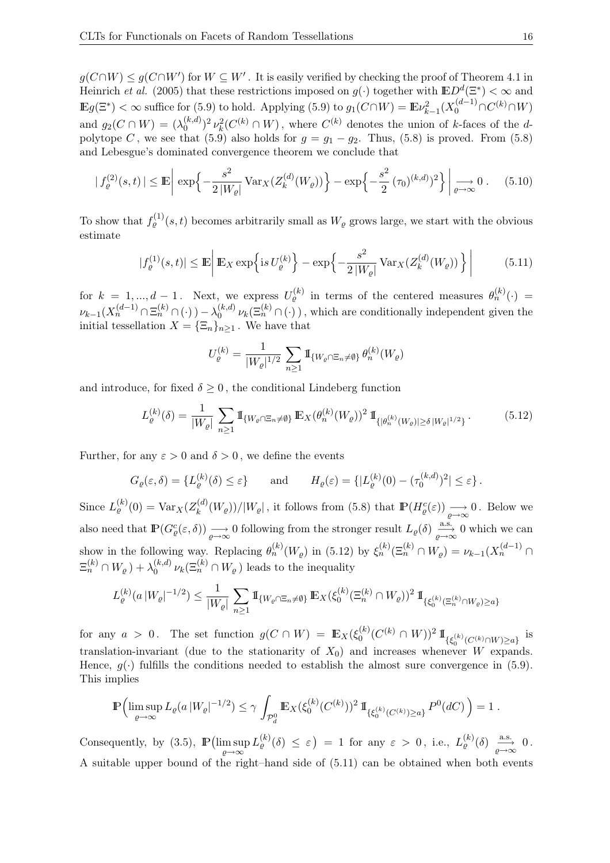$g(C \cap W) \le g(C \cap W')$  for  $W \subseteq W'$ . It is easily verified by checking the proof of Theorem 4.1 in Heinrich et al. (2005) that these restrictions imposed on  $g(\cdot)$  together with  $\mathbb{E}D^d(\Xi^*) < \infty$  and  $\mathbb{E}g(\Xi^*) < \infty$  suffice for (5.9) to hold. Applying (5.9) to  $g_1(C \cap W) = \mathbb{E}\nu_{k-1}^2(X_0^{(d-1)} \cap C^{(k)} \cap W)$ and  $g_2(C \cap W) = (\lambda_0^{(k,d)})$  $\binom{k(d)}{0}^2 \nu_k^2(C^{(k)} \cap W)$ , where  $C^{(k)}$  denotes the union of k-faces of the dpolytope C, we see that (5.9) also holds for  $g = g_1 - g_2$ . Thus, (5.8) is proved. From (5.8) and Lebesgue's dominated convergence theorem we conclude that

$$
|f_{\varrho}^{(2)}(s,t)| \le \mathbb{E} \left| \exp \left\{ -\frac{s^2}{2|W_{\varrho}|} \operatorname{Var}_X(Z_k^{(d)}(W_{\varrho})) \right\} - \exp \left\{ -\frac{s^2}{2} (\tau_0)^{(k,d)} \right\}^2 \right\} \Big|_{\varrho \to \infty} 0 \,. \tag{5.10}
$$

To show that  $f_{\varrho}^{(1)}(s,t)$  becomes arbitrarily small as  $W_{\varrho}$  grows large, we start with the obvious estimate

$$
|f_{\varrho}^{(1)}(s,t)| \le \mathbb{E}\left|\mathbb{E}_X\exp\left\{\mathrm{i} s \, U_{\varrho}^{(k)}\right\} - \exp\left\{-\frac{s^2}{2\left|W_{\varrho}\right|} \operatorname{Var}_X(Z_k^{(d)}(W_{\varrho}))\right\}\right| \tag{5.11}
$$

for  $k = 1, ..., d - 1$ . Next, we express  $U_{\varrho}^{(k)}$  in terms of the centered measures  $\theta_n^{(k)}(\cdot)$  =  $\nu_{k-1}(X_n^{(d-1)} \cap \Xi_n^{(k)} \cap (\cdot)) - \lambda_0^{(k,d)}$  $\binom{(k,d)}{0} \nu_k(\Xi_n^{(k)} \cap (\cdot))$ , which are conditionally independent given the initial tessellation  $X = {\{\Xi_n\}}_{n \geq 1}$ . We have that

$$
U_{\varrho}^{(k)} = \frac{1}{|W_{\varrho}|^{1/2}} \sum_{n \ge 1} \mathbb{I}_{\{W_{\varrho} \cap \Xi_n \ne \emptyset\}} \theta_n^{(k)}(W_{\varrho})
$$

and introduce, for fixed  $\delta \geq 0$ , the conditional Lindeberg function

$$
L_{\varrho}^{(k)}(\delta) = \frac{1}{|W_{\varrho}|} \sum_{n \ge 1} \mathbb{1}_{\{W_{\varrho} \cap \Xi_n \ne \emptyset\}} \mathbb{E}_X(\theta_n^{(k)}(W_{\varrho}))^2 \, \mathbb{1}_{\{|\theta_n^{(k)}(W_{\varrho})| \ge \delta \, |W_{\varrho}|^{1/2}\}}.
$$
 (5.12)

Further, for any  $\varepsilon > 0$  and  $\delta > 0$ , we define the events

$$
G_{\varrho}(\varepsilon,\delta) = \{L_{\varrho}^{(k)}(\delta) \leq \varepsilon\}
$$
 and  $H_{\varrho}(\varepsilon) = \{|L_{\varrho}^{(k)}(0) - (\tau_0^{(k,d)})^2| \leq \varepsilon\}.$ 

Since  $L_{\varrho}^{(k)}(0) = \text{Var}_X(Z_k^{(d)})$  $(k^{(d)}(W_{\varrho}))/|W_{\varrho}|$ , it follows from (5.8) that  $\mathbb{P}(H_{\varrho}^{c}(\varepsilon)) \longrightarrow 0$ . Below we also need that  $\mathbb{P}(G_{\varrho}^c(\varepsilon,\delta)) \longrightarrow 0$  following from the stronger result  $L_{\varrho}(\delta) \xrightarrow[\varrho \to \infty]{} 0$  which we can show in the following way. Replacing  $\theta_n^{(k)}(W_{\varrho})$  in (5.12) by  $\xi_n^{(k)}(\Xi_n^{(k)} \cap W_{\varrho}) = \nu_{k-1}(X_n^{(d-1)} \cap$  $\Xi_n^{(k)} \cap W_{\varrho}$  ) +  $\lambda_0^{(k,d)}$  $\binom{(k,d)}{0} \nu_k(\Xi_n^{(k)} \cap W_{\varrho})$  leads to the inequality

$$
L^{(k)}_{\varrho}(a\,|W_{\varrho}|^{-1/2}) \leq \frac{1}{|W_{\varrho}|}\,\sum_{n\geq 1}\mbox{\rm 1}{\hskip -2.8 pt}\hbox{\rm I}_{\{W_{\varrho}\cap \Xi_n\neq \emptyset\}}\,{\mathbb E}_X(\xi_0^{(k)}(\Xi_n^{(k)}\cap W_{\varrho}))^2\,\mbox{\rm 1}{\hskip -2.8 pt}\hbox{\rm I}_{\{\xi_0^{(k)}(\Xi_n^{(k)}\cap W_{\varrho})\geq a\}}
$$

for any  $a > 0$ . The set function  $g(C \cap W) = \mathbb{E}_X(\xi_0^{(k)})$  $\int_0^{(k)} (C^{(k)} \cap W))^2 \, 1\!\!1_{\{\xi_0^{(k)}(C^{(k)} \cap W) \geq a\}}$  is translation-invariant (due to the stationarity of  $X_0$ ) and increases whenever W expands. Hence,  $q(.)$  fulfills the conditions needed to establish the almost sure convergence in (5.9). This implies

$$
\mathbb{P}\Bigl(\limsup_{\varrho\to\infty} L_{\varrho}(a\,|W_{\varrho}|^{-1/2})\leq \gamma \int_{\mathcal{P}_d^0} \mathbb{E}_X(\xi_0^{(k)}(C^{(k)}))^2 1\!\!1_{\{\xi_0^{(k)}(C^{(k)})\geq a\}} P^0(dC)\Bigr)=1.
$$

Consequently, by (3.5),  $\mathbb{P}\left(\limsup_{\varrho\to\infty} L^{(k)}_{\varrho}(\delta) \leq \varepsilon\right) = 1$  for any  $\varepsilon > 0$ , i.e.,  $L^{(k)}_{\varrho}(\delta) \stackrel{\text{a.s.}}{\underset{\varrho\to\infty}{\longrightarrow}} 0$ . A suitable upper bound of the right–hand side of (5.11) can be obtained when both events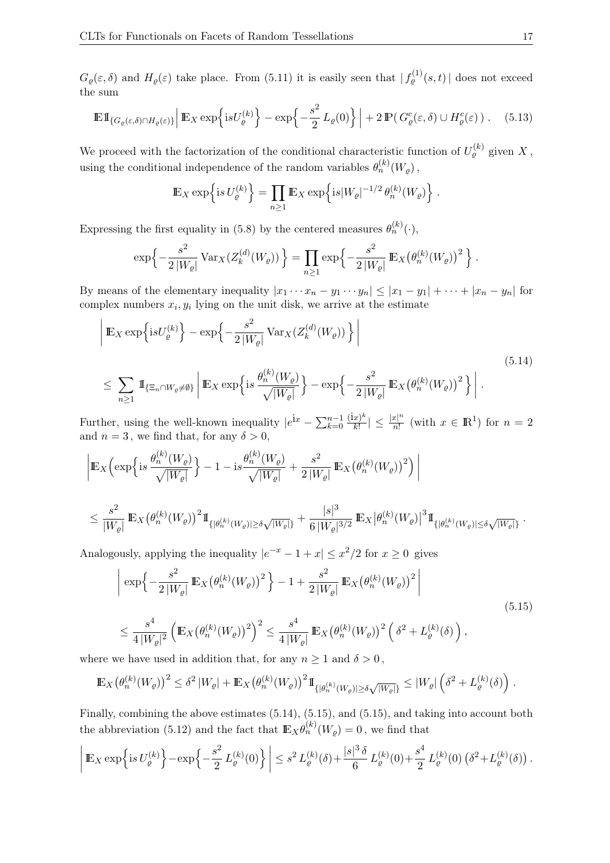$G_{\varrho}(\varepsilon,\delta)$  and  $H_{\varrho}(\varepsilon)$  take place. From (5.11) it is easily seen that  $|f_{\varrho}^{(1)}(s,t)|$  does not exceed the sum

$$
\mathbb{E} \mathbb{1}_{\{G_{\varrho}(\varepsilon,\delta)\cap H_{\varrho}(\varepsilon)\}} \Big| \mathbb{E}_X \exp\Big\{ \mathrm{i} s U_{\varrho}^{(k)} \Big\} - \exp\Big\{-\frac{s^2}{2} \, L_{\varrho}(0) \Big\} \Big| + 2 \, \mathbb{P} \big( \, G_{\varrho}^c(\varepsilon,\delta) \cup H_{\varrho}^c(\varepsilon) \, \big) \,. \tag{5.13}
$$

We proceed with the factorization of the conditional characteristic function of  $U_{\varrho}^{(k)}$  given X, using the conditional independence of the random variables  $\theta_n^{(k)}(W_{\varrho})$ ,

$$
\mathbb{E}_X \exp\left\{is \, U_{\varrho}^{(k)}\right\} = \prod_{n\geq 1} \mathbb{E}_X \exp\left\{is |W_{\varrho}|^{-1/2} \,\theta_n^{(k)}(W_{\varrho})\right\}.
$$

Expressing the first equality in (5.8) by the centered measures  $\theta_n^{(k)}(\cdot)$ ,

$$
\exp\left\{-\frac{s^2}{2|W_{\varrho}|}\operatorname{Var}_X(Z_k^{(d)}(W_{\varrho}))\right\} = \prod_{n\geq 1} \exp\left\{-\frac{s^2}{2|W_{\varrho}|}\mathbb{E}_X(\theta_n^{(k)}(W_{\varrho}))^2\right\}.
$$

By means of the elementary inequality  $|x_1 \cdots x_n - y_1 \cdots y_n| \leq |x_1 - y_1| + \cdots + |x_n - y_n|$  for complex numbers  $x_i, y_i$  lying on the unit disk, we arrive at the estimate

$$
\left| \mathbb{E}_X \exp\left\{ \mathrm{i} s U_{\varrho}^{(k)} \right\} - \exp\left\{ -\frac{s^2}{2|W_{\varrho}|} \operatorname{Var}_X(Z_k^{(d)}(W_{\varrho})) \right\} \right|
$$
  

$$
\leq \sum_{n \geq 1} \mathbb{I}_{\{\Xi_n \cap W_{\varrho} \neq \emptyset\}} \left| \mathbb{E}_X \exp\left\{ \mathrm{i} s \frac{\theta_n^{(k)}(W_{\varrho})}{\sqrt{|W_{\varrho}|}} \right\} - \exp\left\{ -\frac{s^2}{2|W_{\varrho}|} \mathbb{E}_X(\theta_n^{(k)}(W_{\varrho}))^2 \right\} \right|.
$$
  
(5.14)

Further, using the well-known inequality  $|e^{ix} - \sum_{k=0}^{n-1} \frac{(ix)^k}{k!}$  $\frac{|x|^k}{k!} \vert \leq \frac{|x|^n}{n!}$  $\frac{x|^n}{n!}$  (with  $x \in \mathbb{R}^1$ ) for  $n = 2$ and  $n = 3$ , we find that, for any  $\delta > 0$ ,

$$
\left| \mathbb{E}_{X} \Big( \exp \Big\{ \mathrm{i} s \frac{\theta_{n}^{(k)}(W_{\varrho})}{\sqrt{|W_{\varrho}|}} \Big\} - 1 - \mathrm{i} s \frac{\theta_{n}^{(k)}(W_{\varrho})}{\sqrt{|W_{\varrho}|}} + \frac{s^{2}}{2|W_{\varrho}|} \mathbb{E}_{X} \big(\theta_{n}^{(k)}(W_{\varrho})\big)^{2} \Big) \right|
$$
  

$$
\leq \frac{s^{2}}{|W_{\varrho}|} \mathbb{E}_{X} \big(\theta_{n}^{(k)}(W_{\varrho})\big)^{2} 1\!\!1_{\{|\theta_{n}^{(k)}(W_{\varrho})| \geq \delta \sqrt{|W_{\varrho}|} \}} + \frac{|s|^{3}}{6|W_{\varrho}|^{3/2}} \mathbb{E}_{X} \big|\theta_{n}^{(k)}(W_{\varrho})\big|^{3} 1\!\!1_{\{|\theta_{n}^{(k)}(W_{\varrho})| \leq \delta \sqrt{|W_{\varrho}|} \}}.
$$

Analogously, applying the inequality  $|e^{-x} - 1 + x| \leq x^2/2$  for  $x \geq 0$  gives

$$
\left| \exp \left\{ -\frac{s^2}{2|W_{\varrho}|} \mathbb{E}_X \left( \theta_n^{(k)}(W_{\varrho}) \right)^2 \right\} - 1 + \frac{s^2}{2|W_{\varrho}|} \mathbb{E}_X \left( \theta_n^{(k)}(W_{\varrho}) \right)^2 \right|
$$
\n
$$
\leq \frac{s^4}{4|W_{\varrho}|^2} \left( \mathbb{E}_X \left( \theta_n^{(k)}(W_{\varrho}) \right)^2 \right)^2 \leq \frac{s^4}{4|W_{\varrho}|} \mathbb{E}_X \left( \theta_n^{(k)}(W_{\varrho}) \right)^2 \left( \delta^2 + L_{\varrho}^{(k)}(\delta) \right), \tag{5.15}
$$

where we have used in addition that, for any  $n \geq 1$  and  $\delta > 0$ ,

$$
\mathbb{E}_X\big(\theta_n^{(k)}(W_\varrho)\big)^2\leq \delta^2\left|W_\varrho\right|+\mathbb{E}_X\big(\theta_n^{(k)}(W_\varrho)\big)^21\!\!1_{\{|\theta_n^{(k)}(W_\varrho)|\geq \delta\sqrt{|W_\varrho|}\}}\leq |W_\varrho|\left(\delta^2+L_\varrho^{(k)}(\delta)\right).
$$

Finally, combining the above estimates (5.14), (5.15), and (5.15), and taking into account both the abbreviation (5.12) and the fact that  $\mathbb{E}_X \theta_n^{(k)}(W_\varrho) = 0$ , we find that

$$
\left| \mathop{\mathrm{I\!E}}_{X} \exp \left\{ i s \, U^{(k)}_{\varrho} \right\} - \exp \left\{ - \frac{s^2}{2} \, L^{(k)}_{\varrho}(0) \right\} \right| \leq s^2 \, L^{(k)}_{\varrho}(\delta) + \frac{|s|^3 \, \delta}{6} \, L^{(k)}_{\varrho}(0) + \frac{s^4}{2} \, L^{(k)}_{\varrho}(0) \left( \delta^2 + L^{(k)}_{\varrho}(\delta) \right).
$$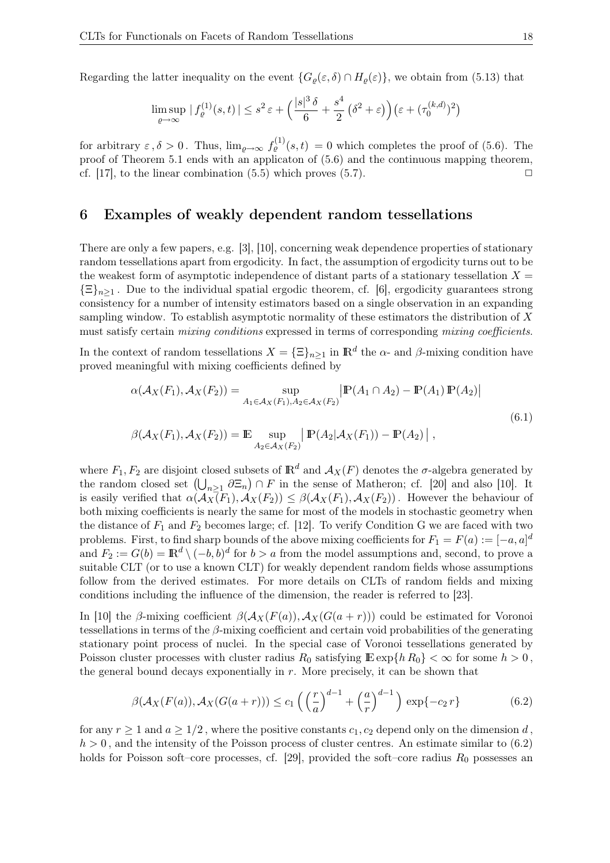Regarding the latter inequality on the event  $\{G_\rho(\varepsilon,\delta) \cap H_\rho(\varepsilon)\}\)$ , we obtain from (5.13) that

$$
\limsup_{\varrho \to \infty} |f_{\varrho}^{(1)}(s,t)| \leq s^2 \varepsilon + \left(\frac{|s|^3 \delta}{6} + \frac{s^4}{2} (\delta^2 + \varepsilon)\right) \left(\varepsilon + (\tau_0^{(k,d)})^2\right)
$$

for arbitrary  $\varepsilon, \delta > 0$ . Thus,  $\lim_{\varrho \to \infty} f_{\varrho}^{(1)}(s,t) = 0$  which completes the proof of (5.6). The proof of Theorem 5.1 ends with an applicaton of (5.6) and the continuous mapping theorem, cf. [17], to the linear combination  $(5.5)$  which proves  $(5.7)$ .

#### 6 Examples of weakly dependent random tessellations

There are only a few papers, e.g. [3], [10], concerning weak dependence properties of stationary random tessellations apart from ergodicity. In fact, the assumption of ergodicity turns out to be the weakest form of asymptotic independence of distant parts of a stationary tessellation  $X =$  $\{\Xi\}_{n\geq 1}$ . Due to the individual spatial ergodic theorem, cf. [6], ergodicity guarantees strong consistency for a number of intensity estimators based on a single observation in an expanding sampling window. To establish asymptotic normality of these estimators the distribution of X must satisfy certain *mixing conditions* expressed in terms of corresponding *mixing coefficients*.

In the context of random tessellations  $X = {\{\Xi\}}_{n\geq 1}$  in  $\mathbb{R}^d$  the  $\alpha$ - and  $\beta$ -mixing condition have proved meaningful with mixing coefficients defined by

$$
\alpha(\mathcal{A}_X(F_1), \mathcal{A}_X(F_2)) = \sup_{A_1 \in \mathcal{A}_X(F_1), A_2 \in \mathcal{A}_X(F_2)} |\mathbb{P}(A_1 \cap A_2) - \mathbb{P}(A_1) \mathbb{P}(A_2)|
$$
  

$$
\beta(\mathcal{A}_X(F_1), \mathcal{A}_X(F_2)) = \mathbb{E} \sup_{A_2 \in \mathcal{A}_X(F_2)} |\mathbb{P}(A_2| \mathcal{A}_X(F_1)) - \mathbb{P}(A_2)|,
$$
 (6.1)

where  $F_1, F_2$  are disjoint closed subsets of  $\mathbb{R}^d$  and  $\mathcal{A}_X(F)$  denotes the  $\sigma$ -algebra generated by the random closed set  $(\bigcup_{n\geq 1} \partial \Xi_n) \cap F$  in the sense of Matheron; cf. [20] and also [10]. It is easily verified that  $\alpha(\mathcal{A}_X(F_1), \mathcal{A}_X(F_2)) \leq \beta(\mathcal{A}_X(F_1), \mathcal{A}_X(F_2))$ . However the behaviour of both mixing coefficients is nearly the same for most of the models in stochastic geometry when the distance of  $F_1$  and  $F_2$  becomes large; cf. [12]. To verify Condition G we are faced with two problems. First, to find sharp bounds of the above mixing coefficients for  $F_1 = F(a) := [-a, a]^d$ and  $F_2 := G(b) = \mathbb{R}^d \setminus (-b, b)^d$  for  $b > a$  from the model assumptions and, second, to prove a suitable CLT (or to use a known CLT) for weakly dependent random fields whose assumptions follow from the derived estimates. For more details on CLTs of random fields and mixing conditions including the influence of the dimension, the reader is referred to [23].

In [10] the β-mixing coefficient  $\beta(\mathcal{A}_X(F(a)), \mathcal{A}_X(G(a + r)))$  could be estimated for Voronoi tessellations in terms of the  $\beta$ -mixing coefficient and certain void probabilities of the generating stationary point process of nuclei. In the special case of Voronoi tessellations generated by Poisson cluster processes with cluster radius  $R_0$  satisfying  $\mathbb{E} \exp\{h R_0\} < \infty$  for some  $h > 0$ , the general bound decays exponentially in  $r$ . More precisely, it can be shown that

$$
\beta(\mathcal{A}_X(F(a)), \mathcal{A}_X(G(a+r))) \le c_1 \left( \left( \frac{r}{a} \right)^{d-1} + \left( \frac{a}{r} \right)^{d-1} \right) \exp\{-c_2 r\} \tag{6.2}
$$

for any  $r \ge 1$  and  $a \ge 1/2$ , where the positive constants  $c_1, c_2$  depend only on the dimension d,  $h > 0$ , and the intensity of the Poisson process of cluster centres. An estimate similar to  $(6.2)$ holds for Poisson soft–core processes, cf. [29], provided the soft–core radius  $R_0$  possesses an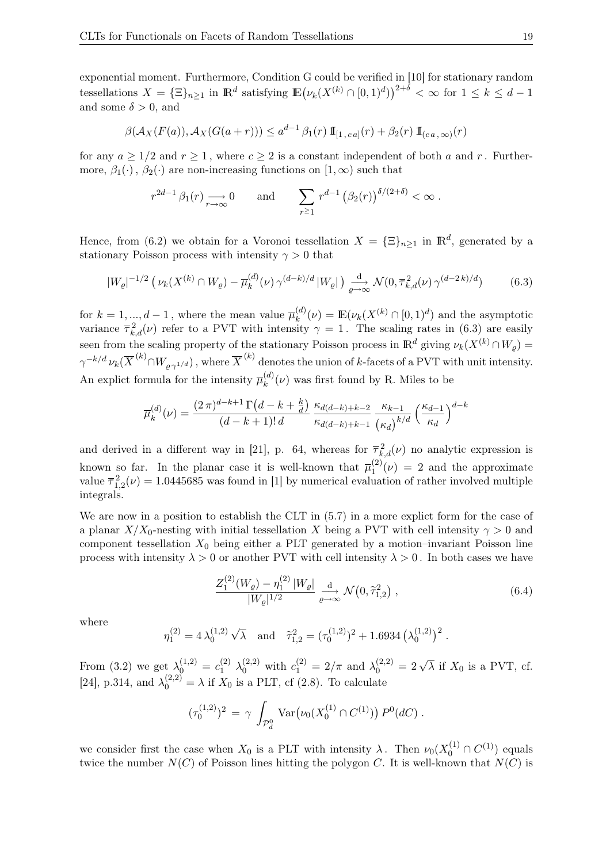exponential moment. Furthermore, Condition G could be verified in [10] for stationary random tessellations  $X = {\Xi}_{n \geq 1}$  in  $\mathbb{R}^d$  satisfying  $\mathbb{E}(\nu_k(X^{(k)} \cap [0,1)^d))^{2+\delta} < \infty$  for  $1 \leq k \leq d-1$ and some  $\delta > 0$ , and

$$
\beta(\mathcal{A}_X(F(a)), \mathcal{A}_X(G(a+r))) \le a^{d-1} \beta_1(r) \, \mathbb{I}_{[1, ca]}(r) + \beta_2(r) \, \mathbb{I}_{(ca, \infty)}(r)
$$

for any  $a \geq 1/2$  and  $r \geq 1$ , where  $c \geq 2$  is a constant independent of both a and r. Furthermore,  $\beta_1(\cdot)$ ,  $\beta_2(\cdot)$  are non-increasing functions on  $[1,\infty)$  such that

$$
r^{2d-1}\beta_1(r) \longrightarrow_{r \to \infty} 0
$$
 and  $\sum_{r \ge 1} r^{d-1} (\beta_2(r))^{\delta/(2+\delta)} < \infty$ .

Hence, from (6.2) we obtain for a Voronoi tessellation  $X = {\{\Xi\}}_{n\geq 1}$  in  $\mathbb{R}^d$ , generated by a stationary Poisson process with intensity  $\gamma > 0$  that

$$
|W_{\varrho}|^{-1/2} \left( \nu_k(X^{(k)} \cap W_{\varrho}) - \overline{\mu}_k^{(d)}(\nu) \gamma^{(d-k)/d} |W_{\varrho}| \right) \xrightarrow[\varrho \to \infty]{\text{d}} \mathcal{N}(0, \overline{\tau}_{k,d}^2(\nu) \gamma^{(d-2k)/d}) \tag{6.3}
$$

for  $k = 1, ..., d - 1$ , where the mean value  $\overline{\mu}_k^{(d)}$  $\mathcal{L}_{k}^{(d)}(\nu) = \mathbb{E}(\nu_k(X^{(k)} \cap [0,1)^d))$  and the asymptotic variance  $\overline{\tau}_{k,d}^2(\nu)$  refer to a PVT with intensity  $\gamma = 1$ . The scaling rates in (6.3) are easily seen from the scaling property of the stationary Poisson process in  $\mathbb{R}^d$  giving  $\nu_k(X^{(k)} \cap W_{\varrho}) =$  $\gamma^{-k/d}\, \nu_k(\overline{X}^{(k)} \cap W_{\varrho\, \gamma^{1/d}})$  , where  $\overline{X}^{(k)}$  denotes the union of  $k$ -facets of a PVT with unit intensity. An explict formula for the intensity  $\overline{\mu}_k^{(d)}$  $\binom{u}{k}(\nu)$  was first found by R. Miles to be

$$
\overline{\mu}_k^{(d)}(\nu) = \frac{(2\,\pi)^{d-k+1}\,\Gamma\big(d-k+\frac{k}{d}\big)}{(d-k+1)!\,d} \, \frac{\kappa_{d(d-k)+k-2}}{\kappa_{d(d-k)+k-1}} \, \frac{\kappa_{k-1}}{(\kappa_d)} \left(\frac{\kappa_{d-1}}{\kappa_d}\right)^{d-k}
$$

and derived in a different way in [21], p. 64, whereas for  $\overline{\tau}_{k,d}^2(\nu)$  no analytic expression is known so far. In the planar case it is well-known that  $\overline{\mu}_1^{(2)}$  $\binom{1}{1}(\nu) = 2$  and the approximate value  $\overline{\tau}_{1,2}^2(\nu) = 1.0445685$  was found in [1] by numerical evaluation of rather involved multiple integrals.

We are now in a position to establish the CLT in  $(5.7)$  in a more explict form for the case of a planar  $X/X_0$ -nesting with initial tessellation X being a PVT with cell intensity  $\gamma > 0$  and component tessellation  $X_0$  being either a PLT generated by a motion–invariant Poisson line process with intensity  $\lambda > 0$  or another PVT with cell intensity  $\lambda > 0$ . In both cases we have

$$
\frac{Z_1^{(2)}(W_\varrho) - \eta_1^{(2)}|W_\varrho|}{|W_\varrho|^{1/2}} \xrightarrow[\varrho \to \infty]{\text{d}} \mathcal{N}\big(0, \tilde{\tau}_{1,2}^2\big) ,\tag{6.4}
$$

where

$$
\eta_1^{(2)} = 4 \lambda_0^{(1,2)} \sqrt{\lambda} \text{ and } \tilde{\tau}_{1,2}^2 = (\tau_0^{(1,2)})^2 + 1.6934 \left(\lambda_0^{(1,2)}\right)^2.
$$

From (3.2) we get  $\lambda_0^{(1,2)} = c_1^{(2)} \lambda_0^{(2,2)}$  with  $c_1^{(2)} = 2/\pi$  and  $\lambda_0^{(2,2)} = 2\sqrt{\lambda}$  if  $X_0$  is a PVT, cf. [24], p.314, and  $\lambda_0^{(2,2)} = \lambda$  if  $X_0$  is a PLT, cf (2.8). To calculate

$$
(\tau_0^{(1,2)})^2 = \gamma \int_{\mathcal{P}_d^0} \text{Var}(\nu_0(X_0^{(1)} \cap C^{(1)})) P^0(dC) .
$$

we consider first the case when  $X_0$  is a PLT with intensity  $\lambda$ . Then  $\nu_0(X_0^{(1)} \cap C^{(1)})$  equals twice the number  $N(C)$  of Poisson lines hitting the polygon C. It is well-known that  $N(C)$  is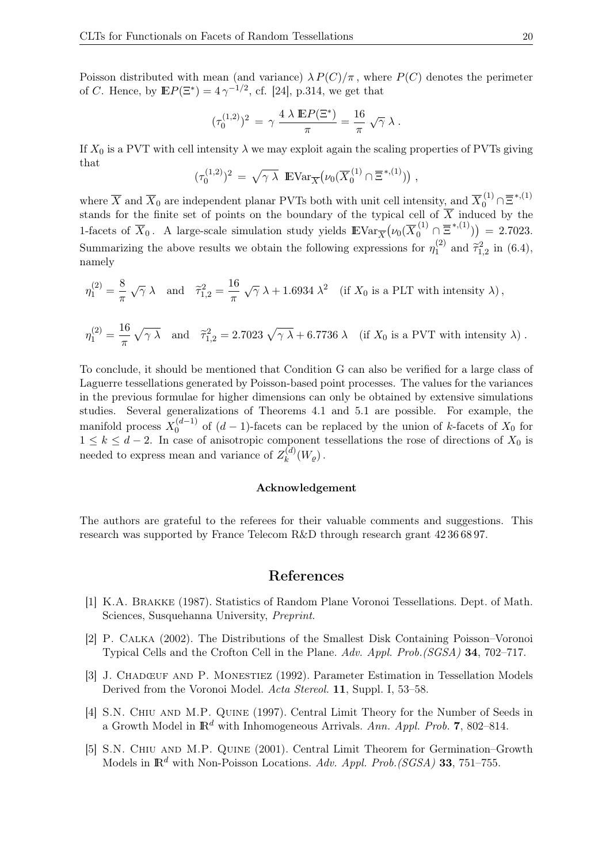Poisson distributed with mean (and variance)  $\lambda P(C)/\pi$ , where  $P(C)$  denotes the perimeter of C. Hence, by  $\mathbb{E}P(\Xi^*) = 4\,\gamma^{-1/2}$ , cf. [24], p.314, we get that

$$
(\tau_0^{(1,2)})^2 \,=\, \gamma\,\frac{4\;\lambda\;\mathbb{E} P(\Xi^*)}{\pi} = \frac{16}{\pi}\;\sqrt{\gamma}\;\lambda\;.
$$

If  $X_0$  is a PVT with cell intensity  $\lambda$  we may exploit again the scaling properties of PVTs giving that

$$
(\tau_0^{(1,2)})^2 = \sqrt{\gamma \lambda} \mathbb{E} \text{Var}_{\overline{X}} \big( \nu_0(\overline{X}_0^{(1)} \cap \overline{\Xi}^{*,(1)}) \big)
$$

,

where  $\overline{X}$  and  $\overline{X}_0$  are independent planar PVTs both with unit cell intensity, and  $\overline{X}_0^{(1)} \cap \overline{\Xi}^{*,(1)}$ stands for the finite set of points on the boundary of the typical cell of  $\overline{X}$  induced by the 1-facets of  $\overline{X}_0$ . A large-scale simulation study yields  $\mathbb{E} \text{Var}_{\overline{X}}(\nu_0(\overline{X}_0^{(1)} \cap \overline{\Xi}^{*,(1)})) = 2.7023$ . Summarizing the above results we obtain the following expressions for  $\eta_1^{(2)}$  $_{1}^{(2)}$  and  $\tilde{\tau}_{1,2}^{2}$  in (6.4), namely

$$
\eta_1^{(2)} = \frac{8}{\pi} \sqrt{\gamma} \lambda \quad \text{and} \quad \tilde{\tau}_{1,2}^2 = \frac{16}{\pi} \sqrt{\gamma} \lambda + 1.6934 \lambda^2 \quad \text{(if } X_0 \text{ is a PLT with intensity } \lambda \text{)},
$$

$$
\eta_1^{(2)} = \frac{16}{\pi} \sqrt{\gamma \lambda} \quad \text{and} \quad \tilde{\tau}_{1,2}^2 = 2.7023 \sqrt{\gamma \lambda} + 6.7736 \lambda \quad \text{(if } X_0 \text{ is a PVT with intensity } \lambda \text{)}.
$$

To conclude, it should be mentioned that Condition G can also be verified for a large class of Laguerre tessellations generated by Poisson-based point processes. The values for the variances in the previous formulae for higher dimensions can only be obtained by extensive simulations studies. Several generalizations of Theorems 4.1 and 5.1 are possible. For example, the manifold process  $X_0^{(d-1)}$  $\binom{a-1}{0}$  of  $(d-1)$ -facets can be replaced by the union of k-facets of  $X_0$  for  $1 \leq k \leq d-2$ . In case of anisotropic component tessellations the rose of directions of  $X_0$  is needed to express mean and variance of  $Z_k^{(d)}$  $\binom{u}{k}(W_{\varrho})$  .

#### Acknowledgement

The authors are grateful to the referees for their valuable comments and suggestions. This research was supported by France Telecom R&D through research grant 42 36 68 97.

#### References

- [1] K.A. Brakke (1987). Statistics of Random Plane Voronoi Tessellations. Dept. of Math. Sciences, Susquehanna University, Preprint.
- [2] P. Calka (2002). The Distributions of the Smallest Disk Containing Poisson–Voronoi Typical Cells and the Crofton Cell in the Plane. Adv. Appl. Prob.(SGSA) 34, 702–717.
- [3] J. Chadœuf and P. Monestiez (1992). Parameter Estimation in Tessellation Models Derived from the Voronoi Model. Acta Stereol. 11, Suppl. I, 53–58.
- [4] S.N. Chiu and M.P. Quine (1997). Central Limit Theory for the Number of Seeds in a Growth Model in  $\mathbb{R}^d$  with Inhomogeneous Arrivals. Ann. Appl. Prob. 7, 802–814.
- [5] S.N. Chiu and M.P. Quine (2001). Central Limit Theorem for Germination–Growth Models in  $\mathbb{R}^d$  with Non-Poisson Locations. Adv. Appl. Prob.(SGSA) 33, 751–755.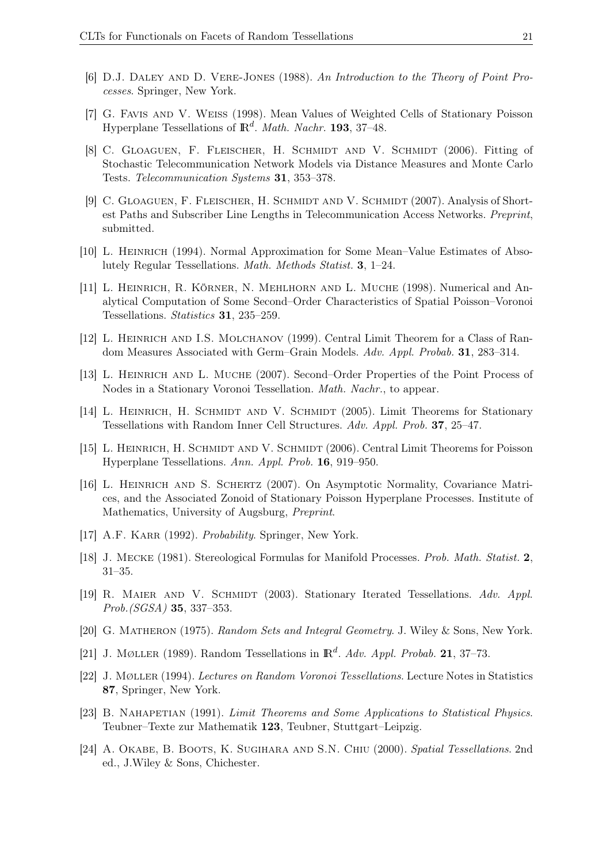- [6] D.J. Daley and D. Vere-Jones (1988). An Introduction to the Theory of Point Processes. Springer, New York.
- [7] G. Favis and V. Weiss (1998). Mean Values of Weighted Cells of Stationary Poisson Hyperplane Tessellations of  $\mathbb{R}^d$ . *Math. Nachr.* 193, 37–48.
- [8] C. GLOAGUEN, F. FLEISCHER, H. SCHMIDT AND V. SCHMIDT (2006). Fitting of Stochastic Telecommunication Network Models via Distance Measures and Monte Carlo Tests. Telecommunication Systems 31, 353–378.
- [9] C. GLOAGUEN, F. FLEISCHER, H. SCHMIDT AND V. SCHMIDT (2007). Analysis of Shortest Paths and Subscriber Line Lengths in Telecommunication Access Networks. Preprint, submitted.
- [10] L. Heinrich (1994). Normal Approximation for Some Mean–Value Estimates of Absolutely Regular Tessellations. Math. Methods Statist. 3, 1–24.
- [11] L. Heinrich, R. Körner, N. Mehlhorn and L. Muche (1998). Numerical and Analytical Computation of Some Second–Order Characteristics of Spatial Poisson–Voronoi Tessellations. Statistics 31, 235–259.
- [12] L. Heinrich and I.S. Molchanov (1999). Central Limit Theorem for a Class of Random Measures Associated with Germ–Grain Models. Adv. Appl. Probab. 31, 283–314.
- [13] L. Heinrich and L. Muche (2007). Second–Order Properties of the Point Process of Nodes in a Stationary Voronoi Tessellation. Math. Nachr., to appear.
- [14] L. HEINRICH, H. SCHMIDT AND V. SCHMIDT (2005). Limit Theorems for Stationary Tessellations with Random Inner Cell Structures. Adv. Appl. Prob. 37, 25–47.
- [15] L. HEINRICH, H. SCHMIDT AND V. SCHMIDT (2006). Central Limit Theorems for Poisson Hyperplane Tessellations. Ann. Appl. Prob. 16, 919–950.
- [16] L. Heinrich and S. Schertz (2007). On Asymptotic Normality, Covariance Matrices, and the Associated Zonoid of Stationary Poisson Hyperplane Processes. Institute of Mathematics, University of Augsburg, Preprint.
- [17] A.F. KARR (1992). *Probability*. Springer, New York.
- [18] J. Mecke (1981). Stereological Formulas for Manifold Processes. Prob. Math. Statist. 2, 31–35.
- [19] R. MAIER AND V. SCHMIDT (2003). Stationary Iterated Tessellations. Adv. Appl. Prob.(SGSA) 35, 337–353.
- [20] G. Matheron (1975). Random Sets and Integral Geometry. J. Wiley & Sons, New York.
- [21] J. MØLLER (1989). Random Tessellations in  $\mathbb{R}^d$ . Adv. Appl. Probab. 21, 37–73.
- [22] J. Møller (1994). Lectures on Random Voronoi Tessellations. Lecture Notes in Statistics 87, Springer, New York.
- [23] B. NAHAPETIAN (1991). Limit Theorems and Some Applications to Statistical Physics. Teubner–Texte zur Mathematik 123, Teubner, Stuttgart–Leipzig.
- [24] A. Okabe, B. Boots, K. Sugihara and S.N. Chiu (2000). Spatial Tessellations. 2nd ed., J.Wiley & Sons, Chichester.